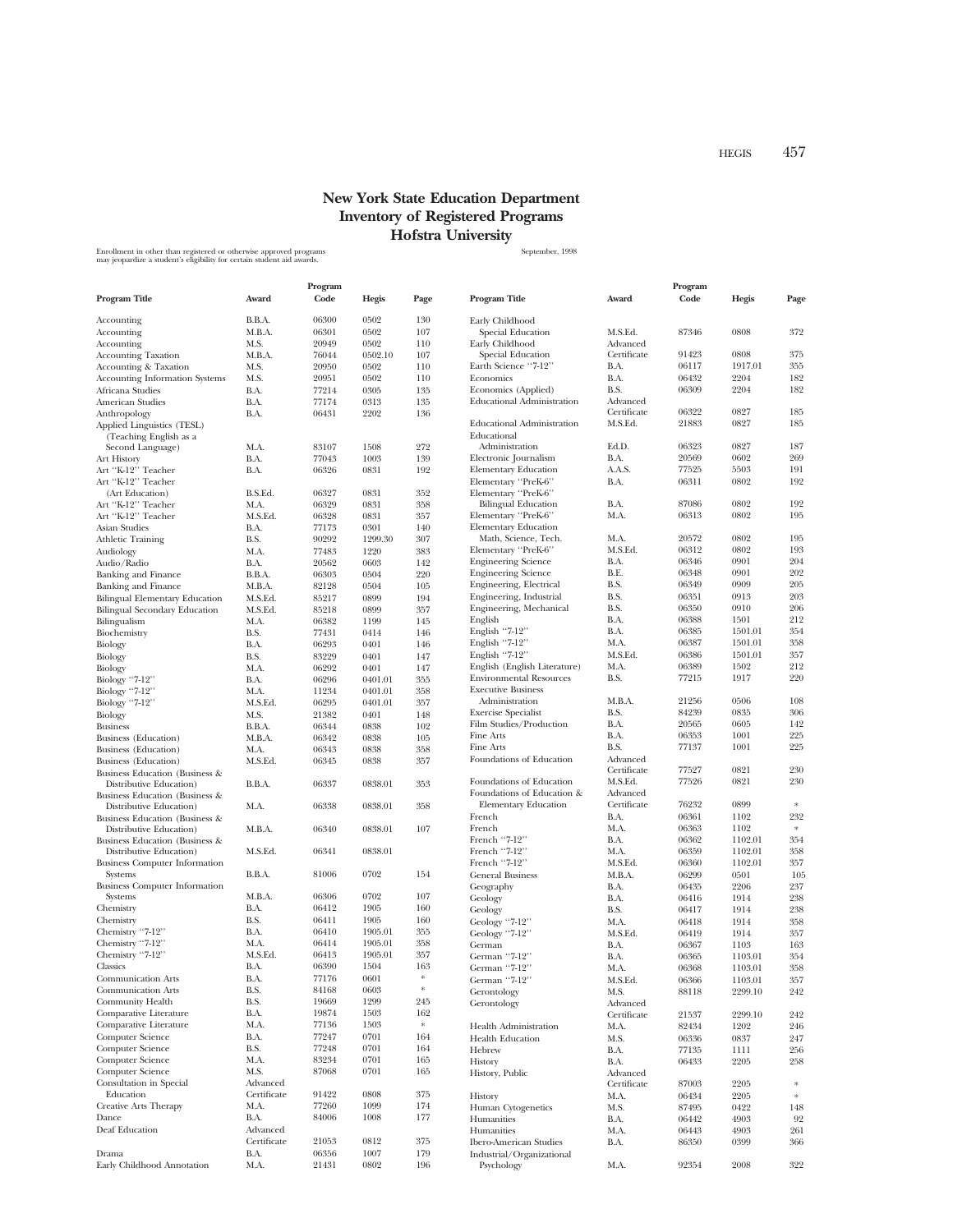## **New York State Education Department Inventory of Registered Programs Hofstra University**

Enrollment in other than registered or otherwise approved programs states and the state of the September, 1998<br>may jeopardize a student's eligibility for certain student aid awards.

|                                                                      | Program     |                 |         |           |                                                        | Program                 |                |              |            |
|----------------------------------------------------------------------|-------------|-----------------|---------|-----------|--------------------------------------------------------|-------------------------|----------------|--------------|------------|
| Program Title                                                        | Award       | $\mathbf{Code}$ | Hegis   | Page      | Program Title                                          | Award                   | Code           | Hegis        | Page       |
| Accounting                                                           | B.B.A.      | 06300           | 0502    | 130       | Early Childhood                                        |                         |                |              |            |
| Accounting                                                           | M.B.A.      | 06301           | 0502    | 107       | Special Education                                      | M.S.Ed.                 | 87346          | 0808         | 372        |
| Accounting                                                           | M.S.        | 20949           | 0502    | 110       | Early Childhood                                        | Advanced                |                |              |            |
| <b>Accounting Taxation</b>                                           | M.B.A.      | 76044           | 0502.10 | 107       | Special Education                                      | Certificate             | 91423          | 0808         | 375        |
| Accounting & Taxation                                                | M.S.        | 20950           | 0502    | 110       | Earth Science "7-12"                                   | B.A.                    | 06117          | 1917.01      | 355        |
| <b>Accounting Information Systems</b>                                | M.S.        | 20951           | 0502    | 110       | Economics                                              | B.A.                    | 06432          | 2204         | 182        |
| Africana Studies                                                     | B.A.        | 77214           | 0305    | 135       | Economics (Applied)                                    | B.S.                    | 06309          | 2204         | 182        |
| American Studies                                                     | B.A.        | 77174           | 0313    | 135       | <b>Educational Administration</b>                      | Advanced<br>Certificate | 06322          | 0827         | 185        |
| Anthropology<br>Applied Linguistics (TESL)<br>(Teaching English as a | B.A.        | 06431           | 2202    | 136       | <b>Educational Administration</b><br>Educational       | M.S.Ed.                 | 21883          | 0827         | 185        |
| Second Language)                                                     | M.A.        | 83107           | 1508    | 272       | Administration                                         | Ed.D.                   | 06323          | 0827         | 187        |
| Art History                                                          | B.A.        | 77043           | 1003    | 139       | Electronic Journalism                                  | B.A.                    | 20569          | 0602         | 269        |
| Art "K-12" Teacher                                                   | B.A.        | 06326           | 0831    | 192       | <b>Elementary Education</b>                            | A.A.S.                  | 77525          | 5503         | 191        |
| Art "K-12" Teacher<br>(Art Education)                                | B.S.Ed.     | 06327           | 0831    | 352       | Elementary "PreK-6"<br>Elementary "PreK-6"             | B.A.                    | 06311          | 0802         | 192        |
| Art "K-12" Teacher                                                   | M.A.        | 06329           | 0831    | 358       | <b>Bilingual Education</b>                             | B.A.                    | 87086          | 0802         | 192        |
| Art "K-12" Teacher                                                   | M.S.Ed.     | 06328           | 0831    | 357       | Elementary "PreK-6"                                    | M.A.                    | 06313          | 0802         | 195        |
| Asian Studies                                                        | B.A.        | 77173           | 0301    | 140       | <b>Elementary Education</b>                            |                         |                |              |            |
| Athletic Training                                                    | B.S.        | 90292           | 1299.30 | 307       | Math, Science, Tech.                                   | M.A.                    | 20572          | 0802         | 195        |
| Audiology                                                            | M.A.        | 77483           | 1220    | 383       | Elementary "PreK-6"                                    | M.S.Ed.                 | 06312          | 0802         | 193        |
| Audio/Radio                                                          | B.A.        | 20562           | 0603    | 142       | <b>Engineering Science</b>                             | B.A.                    | 06346          | 0901         | 204        |
| Banking and Finance                                                  | B.B.A.      | 06303           | 0504    | 220       | <b>Engineering Science</b>                             | B.E.                    | 06348          | 0901         | 202        |
| Banking and Finance                                                  | M.B.A.      | 82128           | 0504    | 105       | Engineering, Electrical                                | B.S.                    | 06349          | 0909         | 205        |
| Bilingual Elementary Education                                       | M.S.Ed.     | 85217           | 0899    | 194       | Engineering, Industrial                                | B.S.                    | 06351          | 0913         | 203        |
| <b>Bilingual Secondary Education</b>                                 | M.S.Ed.     | 85218           | 0899    | 357       | Engineering, Mechanical                                | B.S.                    | 06350          | 0910         | 206        |
| Bilingualism                                                         | M.A.        | 06382           | 1199    | 145       | English                                                | B.A.                    | 06388          | 1501         | 212        |
| Biochemistry                                                         | B.S.        | 77431           | 0414    | 146       | English "7-12"                                         | B.A.                    | 06385          | 1501.01      | 354        |
| Biology                                                              | B.A.        | 06293           | 0401    | 146       | English "7-12"                                         | M.A.                    | 06387          | 1501.01      | 358        |
| Biology                                                              | B.S.        | 83229           | 0401    | 147       | English "7-12"                                         | M.S.Ed.                 | 06386          | 1501.01      | 357        |
| Biology                                                              | M.A.        | 06292           | 0401    | 147       | English (English Literature)                           | M.A.                    | 06389          | 1502         | 212        |
| Biology "7-12"                                                       | B.A.        | 06296           | 0401.01 | 355       | <b>Environmental Resources</b>                         | B.S.                    | 77215          | 1917         | 220        |
| Biology "7-12"                                                       | M.A.        | 11234           | 0401.01 | 358       | <b>Executive Business</b>                              |                         |                |              |            |
| Biology "7-12"                                                       | M.S.Ed.     | 06295           | 0401.01 | 357       | Administration                                         | M.B.A.                  | 21256          | 0506         | 108        |
| Biology                                                              | M.S.        | 21382           | 0401    | 148       | <b>Exercise Specialist</b>                             | B.S.                    | 84239          | 0835         | 306        |
| Business                                                             | B.B.A.      | 06344           | 0838    | 102       | Film Studies/Production                                | B.A.                    | 20565          | 0605         | 142        |
| <b>Business</b> (Education)                                          | M.B.A.      | 06342           | 0838    | 105       | Fine Arts                                              | B.A.                    | 06353          | 1001         | 225        |
| Business (Education)                                                 | M.A.        | 06343           | 0838    | 358       | Fine Arts                                              | B.S.                    | 77137          | 1001         | 225        |
| <b>Business</b> (Education)                                          | M.S.Ed.     | 06345           | 0838    | 357       | Foundations of Education                               | Advanced                |                |              |            |
| Business Education (Business &                                       |             |                 |         |           |                                                        | Certificate             | 77527          | 0821         | 230        |
| Distributive Education)<br>Business Education (Business &            | B.B.A.      | 06337           | 0838.01 | 353       | Foundations of Education<br>Foundations of Education & | M.S.Ed.<br>Advanced     | 77526          | 0821         | 230        |
| Distributive Education)                                              | M.A.        | 06338           | 0838.01 | 358       | <b>Elementary Education</b>                            | Certificate             | 76232          | 0899         | $\ast$     |
| Business Education (Business &                                       |             |                 |         |           | French                                                 | B.A.                    | 06361          | 1102         | 232        |
| Distributive Education)                                              | M.B.A.      | 06340           | 0838.01 | 107       | French                                                 | M.A.                    | 06363          | 1102         | $\ast$     |
| Business Education (Business &                                       |             |                 |         |           | French "7-12"                                          | B.A.                    | 06362          | 1102.01      | 354        |
| Distributive Education)                                              | M.S.Ed.     | 06341           | 0838.01 |           | French "7-12"                                          | M.A.                    | 06359          | 1102.01      | 358        |
| <b>Business Computer Information</b>                                 |             |                 |         |           | French "7-12"                                          | M.S.Ed.                 | 06360          | 1102.01      | 357        |
| <b>Systems</b>                                                       | B.B.A.      | 81006           | 0702    | 154       | <b>General Business</b>                                | M.B.A.                  | 06299          | 0501         | 105        |
| <b>Business Computer Information</b><br>Systems                      | M.B.A.      | 06306           | 0702    | 107       | Geography                                              | B.A.                    | 06435          | 2206         | 237        |
| Chemistry                                                            | B.A.        | 06412           | 1905    | 160       | Geology                                                | B.A.                    | 06416          | 1914         | 238<br>238 |
| Chemistry                                                            | B.S.        | 06411           | 1905    | 160       | Geology                                                | B.S.                    | 06417<br>06418 | 1914<br>1914 | 358        |
| Chemistry "7-12"                                                     | B.A.        | 06410           | 1905.01 | 355       | Geology "7-12"<br>Geology "7-12"                       | M.A.<br>M.S.Ed.         | 06419          | 1914         | 357        |
| Chemistry "7-12"                                                     | M.A.        | 06414           | 1905.01 | 358       | German                                                 | B.A.                    | 06367          | 1103         | 163        |
| Chemistry "7-12"                                                     | M.S.Ed.     | 06413           | 1905.01 | 357       | German "7-12"                                          | B.A.                    | 06365          | 1103.01      | 354        |
| Classics                                                             | B.A.        | 06390           | 1504    | 163       | German "7-12"                                          | M.A.                    | 06368          | 1103.01      | 358        |
| Communication Arts                                                   | B.A.        | 77176           | 0601    |           | German<br>"7-12"                                       | M.S.Ed.                 | 06366          | 1103.01      | 357        |
| Communication Arts                                                   | B.S.        | 84168           | 0603    | $\approx$ | Gerontology                                            | M.S.                    | 88118          | 2299.10      | 242        |
| Community Health                                                     | B.S.        | 19669           | 1299    | 245       | Gerontology                                            | Advanced                |                |              |            |
| Comparative Literature                                               | B.A.        | 19874           | 1503    | 162       |                                                        | Certificate             | 21537          | 2299.10      | 242        |
| Comparative Literature                                               | M.A.        | 77136           | 1503    | $\approx$ | Health Administration                                  | M.A.                    | 82434          | 1202         | 246        |
| Computer Science                                                     | B.A.        | 77247           | 0701    | 164       | <b>Health Education</b>                                | M.S.                    | 06336          | 0837         | 247        |
| Computer Science                                                     | B.S.        | 77248           | 0701    | 164       | Hebrew                                                 | B.A.                    | 77135          | 1111         | 256        |
| Computer Science                                                     | M.A.        | 83234           | 0701    | 165       | History                                                | B.A.                    | 06433          | 2205         | 258        |
| Computer Science                                                     | M.S.        | 87068           | 0701    | 165       | History, Public                                        | Advanced                |                |              |            |
| Consultation in Special                                              | Advanced    |                 |         |           |                                                        | Certificate             | 87003          | 2205         |            |
| Education                                                            | Certificate | 91422           | 0808    | 375       | History                                                | M.A.                    | 06434          | 2205         | $\ast$     |
| Creative Arts Therapy                                                | M.A.        | 77260           | 1099    | 174       | Human Cytogenetics                                     | M.S.                    | 87495          | 0422         | 148        |
| Dance                                                                | B.A.        | 84006           | 1008    | 177       | Humanities                                             | B.A.                    | 06442          | 4903         | 92         |
| Deaf Education                                                       | Advanced    |                 |         |           | Humanities                                             | M.A.                    | 06443          | 4903         | 261        |
|                                                                      | Certificate | 21053           | 0812    | 375       | <b>Ibero-American Studies</b>                          | B.A.                    | 86350          | 0399         | 366        |
| Drama                                                                | B.A.        | 06356           | 1007    | 179       | Industrial/Organizational                              |                         |                |              |            |
| Early Childhood Annotation                                           | M.A.        | 21431           | 0802    | 196       | Psychology                                             | M.A.                    | 92354          | 2008         | 322        |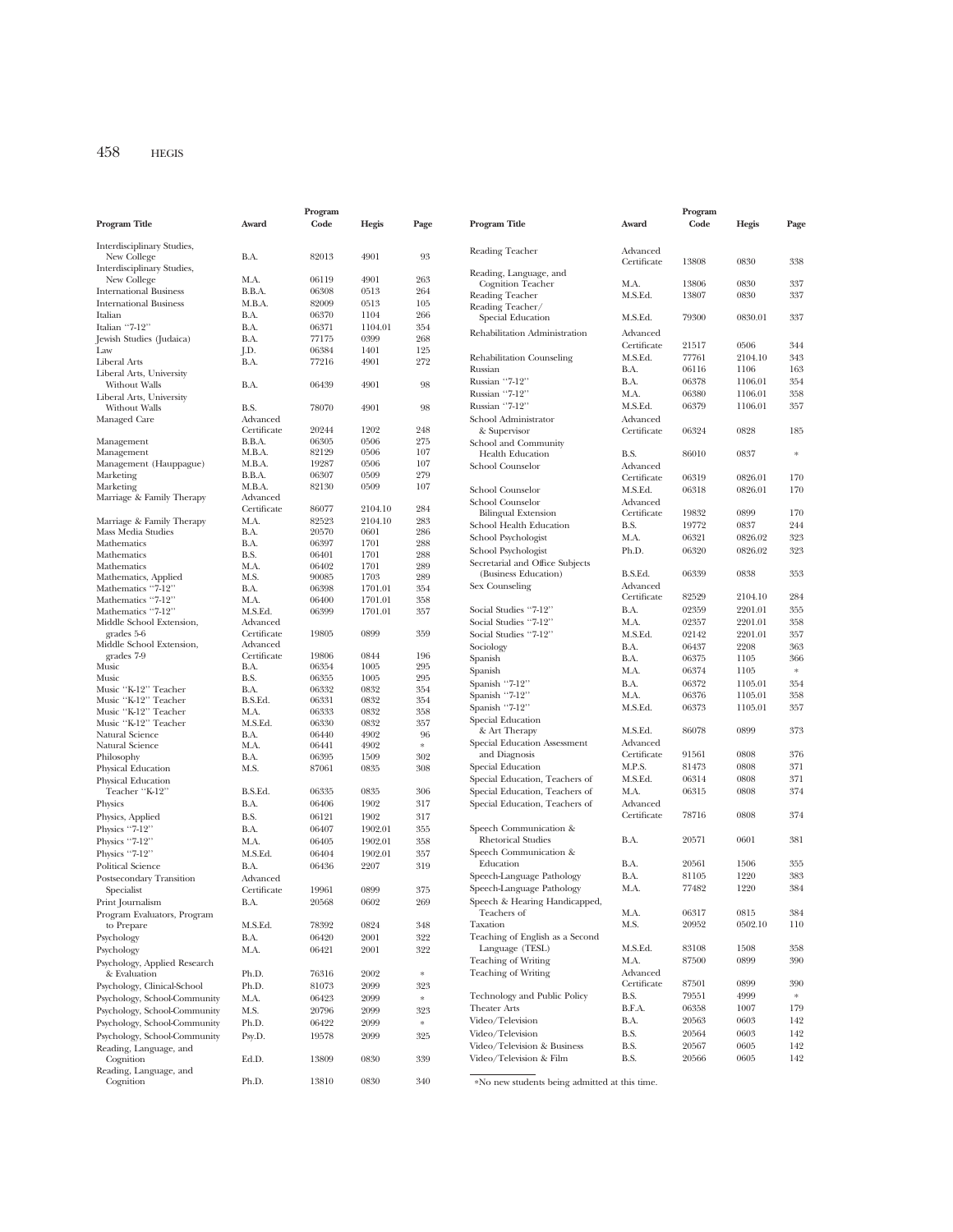|                               |                                      | Program |         |                |                                               |             | Program |         |                   |
|-------------------------------|--------------------------------------|---------|---------|----------------|-----------------------------------------------|-------------|---------|---------|-------------------|
| <b>Program Title</b>          | Award                                | Code    | Hegis   | Page           | Program Title                                 | Award       | Code    | Hegis   | Page              |
|                               |                                      |         |         |                |                                               |             |         |         |                   |
| Interdisciplinary Studies,    |                                      |         |         |                | Reading Teacher                               | Advanced    |         |         |                   |
| New College                   | B.A.                                 | 82013   | 4901    | 93             |                                               | Certificate | 13808   | 0830    | 338               |
| Interdisciplinary Studies,    |                                      |         |         |                | Reading, Language, and                        |             |         |         |                   |
| New College                   | M.A.                                 | 06119   | 4901    | 263            | <b>Cognition Teacher</b>                      | M.A.        | 13806   | 0830    | 337               |
| <b>International Business</b> | B.B.A.                               | 06308   | 0513    | 264            | Reading Teacher                               | M.S.Ed.     | 13807   | 0830    | 337               |
| <b>International Business</b> | M.B.A.                               | 82009   | 0513    | 105            | Reading Teacher/                              |             |         |         |                   |
| Italian                       | B.A.                                 | 06370   | 1104    | 266            | Special Education                             | M.S.Ed.     | 79300   | 0830.01 | 337               |
| Italian "7-12"                | B.A.                                 | 06371   | 1104.01 | 354            |                                               |             |         |         |                   |
| Jewish Studies (Judaica)      | B.A.                                 | 77175   | 0399    | 268            | Rehabilitation Administration                 | Advanced    |         |         |                   |
| Law                           | J.D.                                 | 06384   | 1401    | 125            |                                               | Certificate | 21517   | 0506    | 344               |
| Liberal Arts                  | B.A.                                 | 77216   | 4901    | 272            | Rehabilitation Counseling                     | M.S.Ed.     | 77761   | 2104.10 | 343               |
| Liberal Arts, University      |                                      |         |         |                | Russian                                       | B.A.        | 06116   | 1106    | 163               |
| Without Walls                 | B.A.                                 | 06439   | 4901    | 98             | Russian "7-12"                                | B.A.        | 06378   | 1106.01 | 354               |
| Liberal Arts, University      |                                      |         |         |                | Russian "7-12"                                | M.A.        | 06380   | 1106.01 | 358               |
| Without Walls                 | B.S.                                 | 78070   | 4901    | 98             | Russian "7-12"                                | M.S.Ed.     | 06379   | 1106.01 | 357               |
| Managed Care                  | Advanced                             |         |         |                | School Administrator                          | Advanced    |         |         |                   |
|                               | Certificate                          | 20244   | 1202    | 248            | & Supervisor                                  | Certificate | 06324   | 0828    | 185               |
| Management                    | B.B.A.                               | 06305   | 0506    | 275            | School and Community                          |             |         |         |                   |
| Management                    | M.B.A.                               | 82129   | 0506    | 107            | <b>Health Education</b>                       | B.S.        | 86010   | 0837    | $\ast$            |
| Management (Hauppague)        | M.B.A.                               | 19287   | 0506    | 107            | School Counselor                              | Advanced    |         |         |                   |
| Marketing                     | B.B.A.                               | 06307   | 0509    | 279            |                                               | Certificate | 06319   | 0826.01 | 170               |
| Marketing                     | M.B.A.                               | 82130   | 0509    | 107            | School Counselor                              | M.S.Ed.     | 06318   | 0826.01 | 170               |
| Marriage & Family Therapy     | Advanced                             |         |         |                |                                               |             |         |         |                   |
|                               | Certificate                          | 86077   | 2104.10 | 284            | School Counselor                              | Advanced    | 19832   | 0899    | 170               |
| Marriage & Family Therapy     | M.A.                                 | 82523   | 2104.10 | 283            | <b>Bilingual Extension</b>                    | Certificate |         |         |                   |
| Mass Media Studies            | B.A.                                 | 20570   | 0601    | 286            | School Health Education                       | B.S.        | 19772   | 0837    | 244               |
| Mathematics                   | B.A.                                 | 06397   | 1701    | 288            | School Psychologist                           | M.A.        | 06321   | 0826.02 | 323               |
| Mathematics                   | B.S.                                 | 06401   | 1701    | 288            | School Psychologist                           | Ph.D.       | 06320   | 0826.02 | 323               |
| Mathematics                   | M.A.                                 | 06402   | 1701    | 289            | Secretarial and Office Subjects               |             |         |         |                   |
| Mathematics, Applied          | M.S.                                 | 90085   | 1703    | 289            | (Business Education)                          | B.S.Ed.     | 06339   | 0838    | 353               |
| Mathematics "7-12"            | B.A.                                 | 06398   | 1701.01 | 354            | Sex Counseling                                | Advanced    |         |         |                   |
| Mathematics "7-12"            | M.A.                                 | 06400   | 1701.01 | 358            |                                               | Certificate | 82529   | 2104.10 | 284               |
| Mathematics "7-12"            | M.S.Ed.                              | 06399   | 1701.01 | 357            | Social Studies "7-12"                         | B.A.        | 02359   | 2201.01 | 355               |
| Middle School Extension,      | Advanced                             |         |         |                | Social Studies "7-12"                         | M.A.        | 02357   | 2201.01 | 358               |
| grades 5-6                    | Certificate                          | 19805   | 0899    | 359            | Social Studies "7-12"                         | M.S.Ed.     | 02142   | 2201.01 | 357               |
| Middle School Extension,      | Advanced                             |         |         |                | Sociology                                     | B.A.        | 06437   | 2208    | 363               |
| grades 7-9                    | Certificate                          | 19806   | 0844    | 196            | Spanish                                       | B.A.        | 06375   | 1105    | 366               |
| Music                         | B.A.                                 | 06354   | 1005    | 295            | Spanish                                       | M.A.        | 06374   | 1105    | $\frac{1}{2} \xi$ |
| Music                         | B.S.                                 | 06355   | 1005    | 295            |                                               |             |         |         |                   |
| Music "K-12" Teacher          | B.A.                                 | 06332   | 0832    | 354            | Spanish "7-12"                                | B.A.        | 06372   | 1105.01 | 354               |
| Music "K-12" Teacher          | B.S.Ed.                              | 06331   | 0832    | 354            | Spanish "7-12"                                | M.A.        | 06376   | 1105.01 | 358               |
| Music "K-12" Teacher          | M.A.                                 | 06333   | 0832    | 358            | Spanish "7-12"                                | M.S.Ed.     | 06373   | 1105.01 | 357               |
| Music "K-12" Teacher          | $\mathbf{M}.\mathbf{S}.\mathbf{Ed}.$ | 06330   | 0832    | 357            | Special Education                             |             |         |         |                   |
| Natural Science               | B.A.                                 | 06440   | 4902    | 96             | & Art Therapy                                 | M.S.Ed.     | 86078   | 0899    | 373               |
| Natural Science               | M.A.                                 | 06441   | 4902    | $\ast$         | Special Education Assessment                  | Advanced    |         |         |                   |
| Philosophy                    | B.A.                                 | 06395   | 1509    | 302            | and Diagnosis                                 | Certificate | 91561   | 0808    | 376               |
| Physical Education            | M.S.                                 | 87061   | 0835    | 308            | Special Education                             | M.P.S.      | 81473   | 0808    | 371               |
| Physical Education            |                                      |         |         |                | Special Education, Teachers of                | M.S.Ed.     | 06314   | 0808    | 371               |
| Teacher "K-12"                | B.S.Ed.                              | 06335   | 0835    | 306            | Special Education, Teachers of                | M.A.        | 06315   | 0808    | 374               |
| Physics                       | B.A.                                 | 06406   | 1902    | 317            | Special Education, Teachers of                | Advanced    |         |         |                   |
| Physics, Applied              | B.S.                                 | 06121   | 1902    | 317            |                                               | Certificate | 78716   | 0808    | 374               |
| Physics "7-12"                | B.A.                                 | 06407   | 1902.01 | 355            | Speech Communication &                        |             |         |         |                   |
| Physics "7-12"                | M.A.                                 | 06405   | 1902.01 | 358            | <b>Rhetorical Studies</b>                     | B.A.        | 20571   | 0601    | 381               |
|                               |                                      |         |         |                | Speech Communication &                        |             |         |         |                   |
| Physics "7-12"                | M.S.Ed.                              | 06404   | 1902.01 | 357            | Education                                     | B.A.        | 20561   | 1506    | 355               |
| <b>Political Science</b>      | B.A.                                 | 06436   | 2207    | 319            |                                               |             |         |         |                   |
| Postsecondary Transition      | Advanced                             |         |         |                | Speech-Language Pathology                     | B.A.        | 81105   | 1220    | 383               |
| Specialist                    | Certificate                          | 19961   | 0899    | 375            | Speech-Language Pathology                     | M.A.        | 77482   | 1220    | 384               |
| Print Journalism              | B.A.                                 | 20568   | 0602    | 269            | Speech & Hearing Handicapped,                 |             |         |         |                   |
| Program Evaluators, Program   |                                      |         |         |                | Teachers of                                   | M.A.        | 06317   | 0815    | 384               |
| to Prepare                    | M.S.Ed.                              | 78392   | 0824    | 348            | Taxation                                      | M.S.        | 20952   | 0502.10 | 110               |
| Psychology                    | B.A.                                 | 06420   | 2001    | 322            | Teaching of English as a Second               |             |         |         |                   |
| Psychology                    | M.A.                                 | 06421   | 2001    | 322            | Language (TESL)                               | M.S.Ed.     | 83108   | 1508    | 358               |
| Psychology, Applied Research  |                                      |         |         |                | Teaching of Writing                           | M.A.        | 87500   | 0899    | 390               |
| & Evaluation                  | Ph.D.                                | 76316   | 2002    | $\frac{1}{25}$ | Teaching of Writing                           | Advanced    |         |         |                   |
| Psychology, Clinical-School   | Ph.D.                                | 81073   | 2099    | 323            |                                               | Certificate | 87501   | 0899    | 390               |
| Psychology, School-Community  | M.A.                                 | 06423   | 2099    | $\approx$      | Technology and Public Policy                  | B.S.        | 79551   | 4999    | $\ast$            |
|                               |                                      |         |         |                | <b>Theater Arts</b>                           | B.F.A.      | 06358   | 1007    | 179               |
| Psychology, School-Community  | M.S.                                 | 20796   | 2099    | 323            | Video/Television                              | B.A.        | 20563   | 0603    | 142               |
| Psychology, School-Community  | Ph.D.                                | 06422   | 2099    | $\mathbf{x}$   |                                               |             |         |         |                   |
| Psychology, School-Community  | Psy.D.                               | 19578   | 2099    | 325            | Video/Television                              | B.S.        | 20564   | 0603    | 142               |
| Reading, Language, and        |                                      |         |         |                | Video/Television & Business                   | B.S.        | 20567   | 0605    | 142               |
| Cognition                     | Ed.D.                                | 13809   | 0830    | 339            | Video/Television & Film                       | B.S.        | 20566   | 0605    | 142               |
| Reading, Language, and        |                                      |         |         |                |                                               |             |         |         |                   |
| Cognition                     | Ph.D.                                | 13810   | 0830    | 340            | *No new students being admitted at this time. |             |         |         |                   |
|                               |                                      |         |         |                |                                               |             |         |         |                   |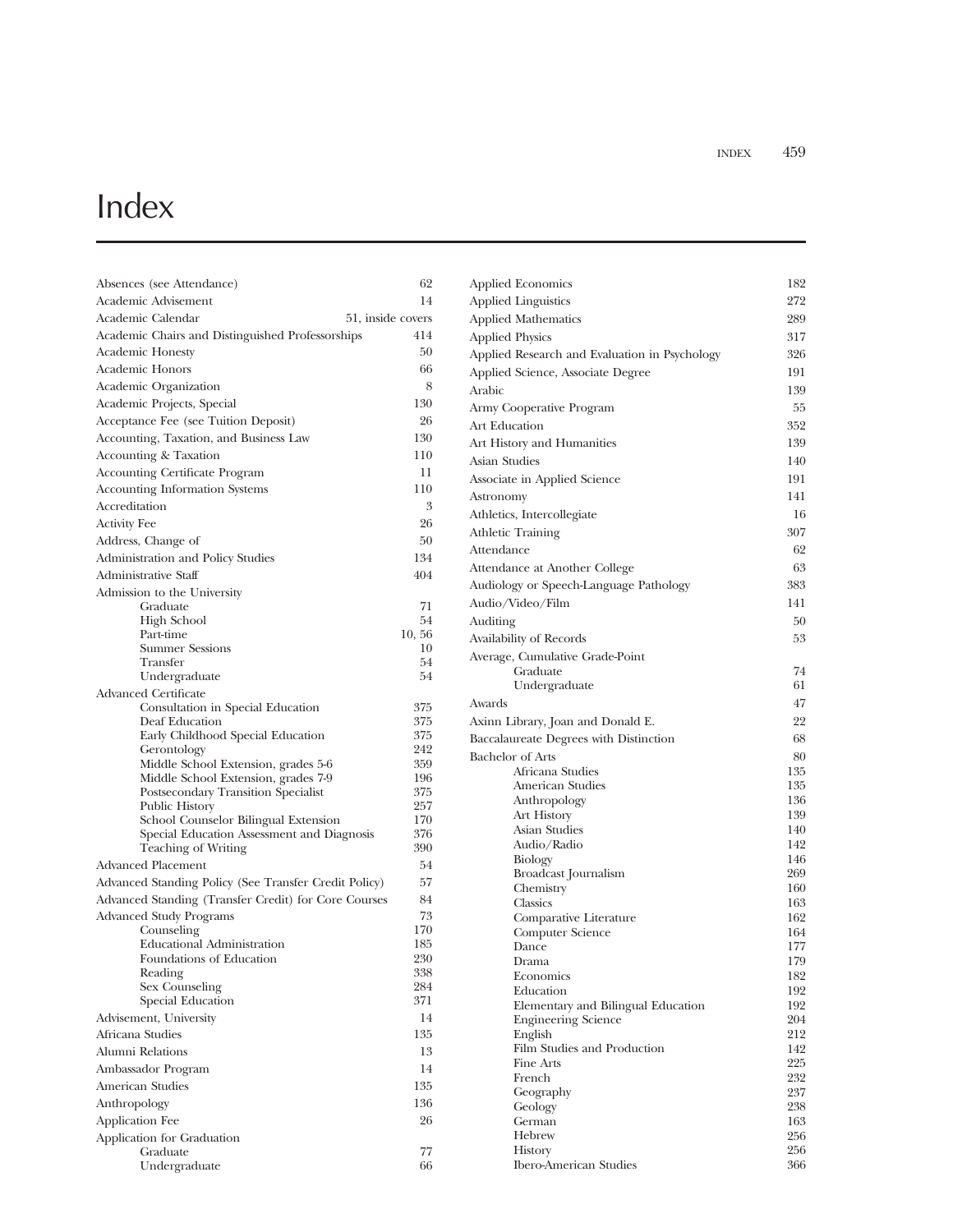## Index

| Absences (see Attendance)                             | 62         |
|-------------------------------------------------------|------------|
| Academic Advisement                                   | 14         |
| Academic Calendar<br>51, inside covers                |            |
| Academic Chairs and Distinguished Professorships      | 414        |
| <b>Academic Honesty</b>                               | 50         |
| <b>Academic Honors</b>                                | 66         |
| Academic Organization                                 | 8          |
| Academic Projects, Special                            | 130        |
| Acceptance Fee (see Tuition Deposit)                  | 26         |
| Accounting, Taxation, and Business Law                | 130        |
| Accounting & Taxation                                 | 110        |
| <b>Accounting Certificate Program</b>                 | 11         |
| <b>Accounting Information Systems</b>                 | 110        |
| Accreditation                                         | 3          |
| <b>Activity Fee</b>                                   | 26         |
| Address, Change of                                    | 50         |
| Administration and Policy Studies                     | 134        |
| Administrative Staff                                  | 404        |
| Admission to the University                           |            |
| Graduate                                              | 71         |
| <b>High School</b>                                    | 54         |
| Part-time                                             | 10, 56     |
| <b>Summer Sessions</b>                                | 10         |
| Transfer                                              | 54         |
| Undergraduate                                         | 54         |
| Advanced Certificate                                  |            |
| Consultation in Special Education                     | 375        |
| Deaf Education                                        | 375<br>375 |
| Early Childhood Special Education<br>Gerontology      | 242        |
| Middle School Extension, grades 5-6                   | 359        |
| Middle School Extension, grades 7-9                   | 196        |
| Postsecondary Transition Specialist                   | 375        |
| Public History                                        | 257        |
| School Counselor Bilingual Extension                  | 170        |
| Special Education Assessment and Diagnosis            | 376        |
| <b>Teaching of Writing</b>                            | 390        |
| Advanced Placement                                    | 54         |
| Advanced Standing Policy (See Transfer Credit Policy) | 57         |
| Advanced Standing (Transfer Credit) for Core Courses  | 84         |
| <b>Advanced Study Programs</b>                        | 73         |
| Counseling                                            | 170        |
| <b>Educational Administration</b>                     | 185        |
| Foundations of Education<br>Reading                   | 230<br>338 |
| Sex Counseling                                        | 284        |
| Special Education                                     | 371        |
| Advisement, University                                | 14         |
| Africana Studies                                      | 135        |
| Alumni Relations                                      | 13         |
| Ambassador Program                                    | 14         |
| American Studies                                      | 135        |
|                                                       |            |
| Anthropology                                          | 136        |
| Application Fee                                       | 26         |
| Application for Graduation                            | 77         |
| Graduate<br>Undergraduate                             | 66         |
|                                                       |            |

| <b>Applied Economics</b>                      | 182        |
|-----------------------------------------------|------------|
| <b>Applied Linguistics</b>                    | 272        |
| <b>Applied Mathematics</b>                    | 289        |
| <b>Applied Physics</b>                        | 317        |
| Applied Research and Evaluation in Psychology | 326        |
| Applied Science, Associate Degree             | 191        |
| Arabic                                        | 139        |
| Army Cooperative Program                      | 55         |
| Art Education                                 | 352        |
| Art History and Humanities                    | 139        |
| Asian Studies                                 | 140        |
|                                               | 191        |
| Associate in Applied Science                  |            |
| Astronomy                                     | 141        |
| Athletics, Intercollegiate                    | 16         |
| <b>Athletic Training</b>                      | 307        |
| Attendance                                    | 62         |
| Attendance at Another College                 | 63         |
| Audiology or Speech-Language Pathology        | 383        |
| Audio/Video/Film                              | 141        |
| Auditing                                      | 50         |
| Availability of Records                       | 53         |
| Average, Cumulative Grade-Point               |            |
| Graduate                                      | 74         |
| Undergraduate                                 | 61         |
| Awards                                        | 47         |
| Axinn Library, Joan and Donald E.             | 22         |
| Baccalaureate Degrees with Distinction        | 68         |
| <b>Bachelor</b> of Arts                       | 80         |
| Africana Studies                              | 135        |
| American Studies                              | 135        |
| Anthropology                                  | 136        |
| Art History                                   | 139        |
| Asian Studies<br>Audio/Radio                  | 140<br>142 |
| Biology                                       | 146        |
| Broadcast Journalism                          | 269        |
| Chemistry                                     | 160        |
| Classics                                      | 163        |
| Comparative Literature                        | 162        |
| Computer Science                              | 164        |
| Dance                                         | 177        |
| Drama                                         | 179        |
| Economics                                     | 182        |
| Education                                     | 192        |
| Elementary and Bilingual Education            | 192        |
| <b>Engineering Science</b>                    | 204        |
| English<br>Film Studies and Production        | 212<br>142 |
| Fine Arts                                     | 225        |
| French                                        | 232        |
| Geography                                     | 237        |
| Geology                                       | 238        |
| German                                        | 163        |
| Hebrew                                        | 256        |
| <b>History</b>                                | 256        |
| <b>Ibero-American Studies</b>                 | 366        |
|                                               |            |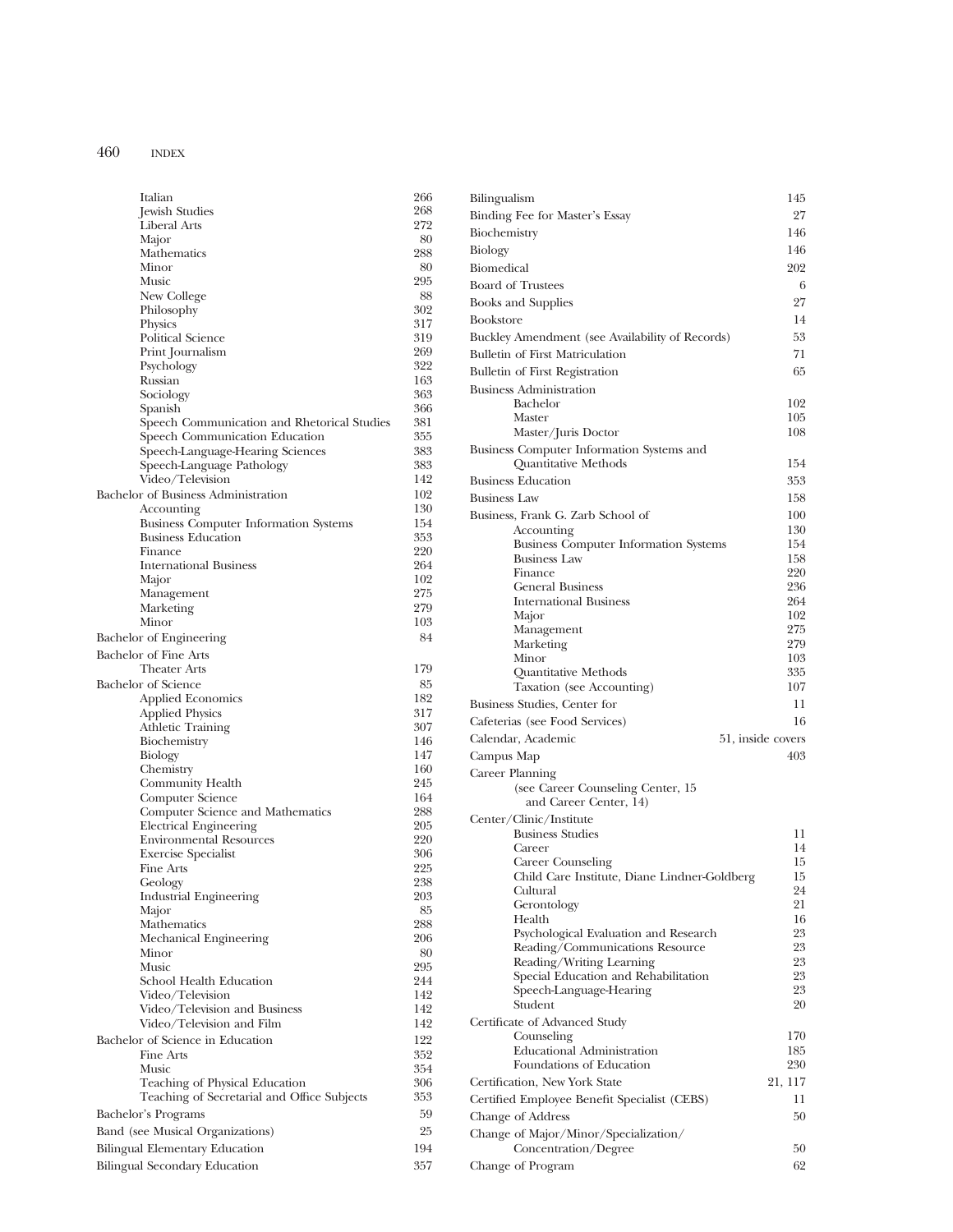| Italian                                           | 266        |
|---------------------------------------------------|------------|
| Jewish Studies                                    | 268<br>272 |
| Liberal Arts                                      | 80         |
| Major<br>Mathematics                              | 288        |
| Minor                                             | 80         |
| Music                                             | 295        |
| New College                                       | 88         |
| Philosophy                                        | 302        |
| <b>Physics</b>                                    | 317        |
| <b>Political Science</b>                          | 319        |
| Print Journalism<br>Psychology                    | 269<br>322 |
| Russian                                           | 163        |
| Sociology                                         | 363        |
| Spanish                                           | 366        |
| Speech Communication and Rhetorical Studies       | 381        |
| Speech Communication Education                    | 355        |
| Speech-Language-Hearing Sciences                  | 383        |
| Speech-Language Pathology<br>Video/Television     | 383<br>142 |
| Bachelor of Business Administration               | 102        |
| Accounting                                        | 130        |
| <b>Business Computer Information Systems</b>      | 154        |
| <b>Business Education</b>                         | 353        |
| Finance                                           | 220        |
| <b>International Business</b>                     | 264        |
| Major                                             | 102        |
| Management                                        | 275        |
| Marketing<br>Minor                                | 279<br>103 |
| Bachelor of Engineering                           | 84         |
| <b>Bachelor of Fine Arts</b>                      |            |
| <b>Theater Arts</b>                               | 179        |
| <b>Bachelor</b> of Science                        | 85         |
| <b>Applied Economics</b>                          | 182        |
| <b>Applied Physics</b>                            | 317        |
| <b>Athletic Training</b>                          | 307        |
| Biochemistry                                      | 146        |
| <b>Biology</b>                                    | 147<br>160 |
| Chemistry<br>Community Health                     | 245        |
| Computer Science                                  | 164        |
| Computer Science and Mathematics                  | 288        |
| <b>Electrical Engineering</b>                     | 205        |
| <b>Environmental Resources</b>                    | 220        |
| <b>Exercise Specialist</b>                        | 306        |
| Fine Arts<br>Geology                              | 225<br>238 |
| <b>Industrial Engineering</b>                     | 203        |
| Major                                             | 85         |
| Mathematics                                       | 288        |
| Mechanical Engineering                            | 206        |
| Minor                                             | 80         |
| Music                                             | 295        |
| School Health Education                           | 244        |
| Video/Television<br>Video/Television and Business | 142<br>142 |
| Video/Television and Film                         | 142        |
| Bachelor of Science in Education                  | 122        |
| Fine Arts                                         | 352        |
| Music                                             | 354        |
| Teaching of Physical Education                    | 306        |
| Teaching of Secretarial and Office Subjects       | 353        |
| Bachelor's Programs                               | 59         |
| Band (see Musical Organizations)                  | 25         |
| Bilingual Elementary Education                    | 194        |
| Bilingual Secondary Education                     | 357        |

| Bilingualism                                                                   | 145               |
|--------------------------------------------------------------------------------|-------------------|
| Binding Fee for Master's Essay                                                 | 27                |
| Biochemistry                                                                   | 146               |
| Biology                                                                        | 146               |
| Biomedical                                                                     | 202               |
| <b>Board of Trustees</b>                                                       | 6                 |
| <b>Books and Supplies</b>                                                      | 27                |
| <b>Bookstore</b>                                                               | 14                |
| Buckley Amendment (see Availability of Records)                                | 53                |
| <b>Bulletin of First Matriculation</b>                                         | 71                |
| <b>Bulletin of First Registration</b>                                          | 65                |
| <b>Business Administration</b>                                                 |                   |
| Bachelor<br>Master                                                             | 102<br>105        |
| Master/Juris Doctor                                                            | 108               |
| Business Computer Information Systems and                                      |                   |
| Quantitative Methods                                                           | 154               |
| <b>Business Education</b>                                                      | 353               |
| <b>Business Law</b>                                                            | 158               |
| Business, Frank G. Zarb School of                                              | 100               |
| Accounting                                                                     | 130               |
| <b>Business Computer Information Systems</b><br><b>Business Law</b>            | 154<br>158        |
| Finance                                                                        | 220               |
| <b>General Business</b>                                                        | 236               |
| <b>International Business</b>                                                  | 264               |
| Major                                                                          | 102               |
| Management<br>Marketing                                                        | 275<br>279        |
| Minor                                                                          | 103               |
| Quantitative Methods                                                           | 335               |
|                                                                                |                   |
| Taxation (see Accounting)                                                      | 107               |
| Business Studies, Center for                                                   | 11                |
| Cafeterias (see Food Services)                                                 | 16                |
| Calendar, Academic                                                             | 51, inside covers |
| Campus Map                                                                     | 403               |
| Career Planning<br>(see Career Counseling Center, 15<br>and Career Center, 14) |                   |
|                                                                                |                   |
| Center/Clinic/Institute<br><b>Business Studies</b>                             | 11                |
| Career                                                                         | 14                |
| Career Counseling                                                              | 15                |
| Child Care Institute, Diane Lindner-Goldberg<br>Cultural                       | 15<br>24          |
| Gerontology                                                                    | 21                |
| Health                                                                         | 16                |
| Psychological Evaluation and Research                                          | 23                |
| Reading/Communications Resource                                                | 23<br>23          |
| Reading/Writing Learning<br>Special Education and Rehabilitation               | 23                |
| Speech-Language-Hearing<br>Student                                             | 23<br>20          |
| Certificate of Advanced Study                                                  |                   |
| Counseling                                                                     | 170               |
| <b>Educational Administration</b><br>Foundations of Education                  | 185<br>230        |
| Certification, New York State                                                  |                   |
|                                                                                | 21, 117<br>11     |
| Certified Employee Benefit Specialist (CEBS)                                   | 50                |
| Change of Address                                                              |                   |
| Change of Major/Minor/Specialization/<br>Concentration/Degree                  | 50                |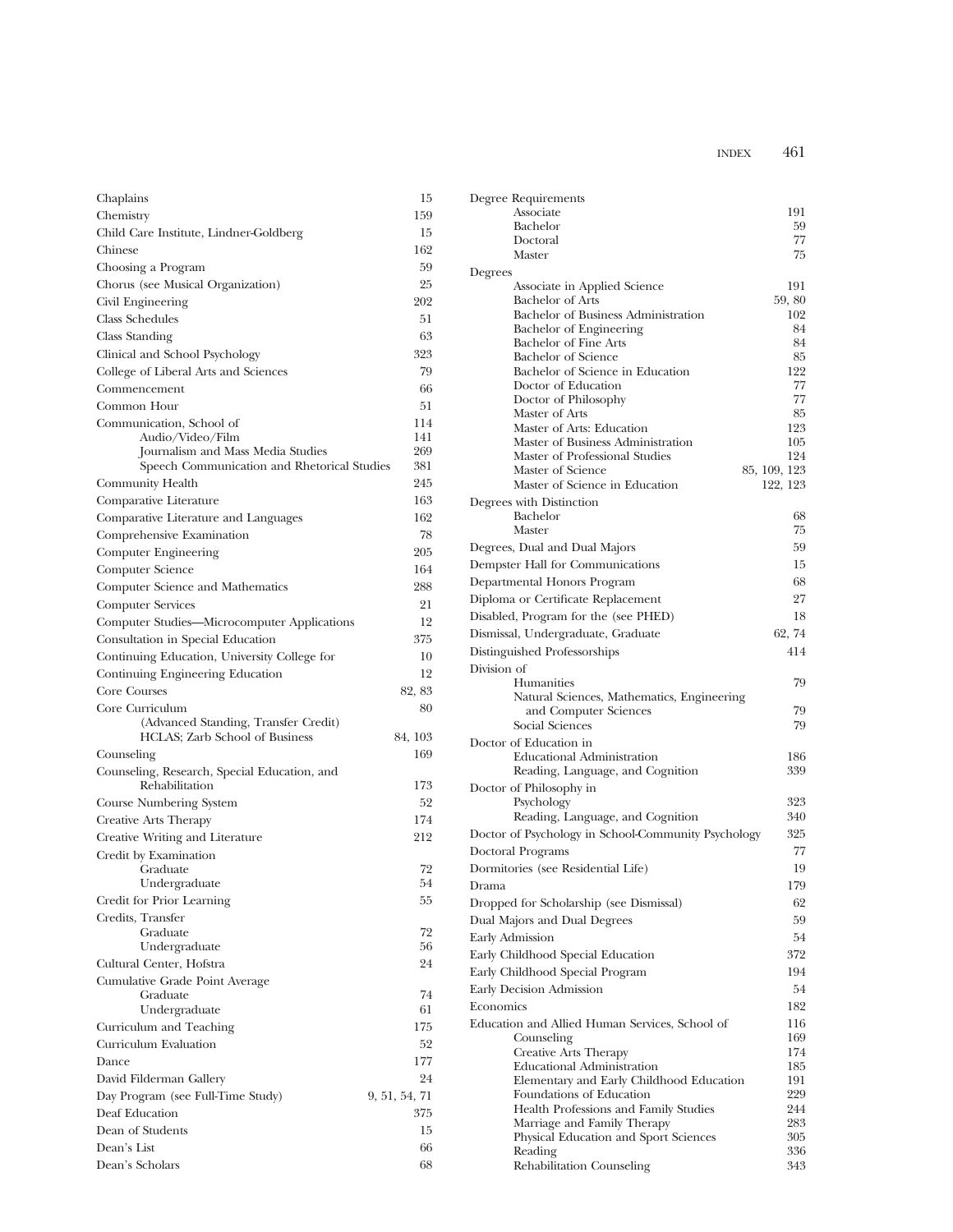| Chaplains                                                              | 15            |
|------------------------------------------------------------------------|---------------|
| Chemistry                                                              | 159           |
| Child Care Institute, Lindner-Goldberg                                 | 15            |
| Chinese                                                                | 162           |
| Choosing a Program                                                     | 59            |
| Chorus (see Musical Organization)                                      | 25            |
| Civil Engineering                                                      | 202           |
| <b>Class Schedules</b>                                                 | 51            |
| Class Standing                                                         | 63            |
| Clinical and School Psychology                                         | 323           |
| College of Liberal Arts and Sciences                                   | 79            |
| Commencement                                                           | 66            |
| Common Hour                                                            | 51            |
| Communication, School of                                               | 114           |
| Audio/Video/Film<br>Journalism and Mass Media Studies                  | 141<br>269    |
| Speech Communication and Rhetorical Studies                            | 381           |
| Community Health                                                       | 245           |
| Comparative Literature                                                 | 163           |
| Comparative Literature and Languages                                   | 162           |
| Comprehensive Examination                                              | 78            |
| Computer Engineering                                                   | 205           |
| Computer Science                                                       | 164           |
| Computer Science and Mathematics                                       | 288           |
| <b>Computer Services</b>                                               | 21            |
| Computer Studies-Microcomputer Applications                            | 12            |
| Consultation in Special Education                                      | 375           |
| Continuing Education, University College for                           | 10            |
| Continuing Engineering Education                                       | 12            |
| Core Courses                                                           | 82, 83        |
| Core Curriculum                                                        | 80            |
| (Advanced Standing, Transfer Credit)<br>HCLAS; Zarb School of Business | 84, 103       |
| Counseling                                                             | 169           |
| Counseling, Research, Special Education, and<br>Rehabilitation         | 173           |
| Course Numbering System                                                | 52            |
| Creative Arts Therapy                                                  | 174           |
| Creative Writing and Literature                                        | 212           |
| Credit by Examination                                                  |               |
| Graduate                                                               | 72            |
| Undergraduate                                                          | 54            |
| Credit for Prior Learning<br>Credits, Transfer                         | 55            |
| Graduate                                                               | 72            |
| Undergraduate                                                          | 56            |
| Cultural Center, Hofstra                                               | 24            |
| Cumulative Grade Point Average                                         |               |
| Graduate                                                               | 74            |
| Undergraduate                                                          | 61            |
| Curriculum and Teaching                                                | 175           |
| Curriculum Evaluation                                                  | 52            |
| Dance                                                                  | 177           |
| David Filderman Gallery                                                | 24            |
| Day Program (see Full-Time Study)                                      | 9, 51, 54, 71 |
| Deaf Education                                                         | 375           |
| Dean of Students                                                       | 15            |
| Dean's List                                                            | 66            |
| Dean's Scholars                                                        | 68            |

| Degree Requirements                                                           |              |
|-------------------------------------------------------------------------------|--------------|
| Associate                                                                     | 191          |
| Bachelor<br>Doctoral                                                          | 59<br>77     |
| Master                                                                        | 75           |
| Degrees                                                                       |              |
| Associate in Applied Science                                                  | 191          |
| <b>Bachelor</b> of Arts                                                       | 59,80        |
| Bachelor of Business Administration                                           | 102          |
| Bachelor of Engineering                                                       | 84           |
| <b>Bachelor</b> of Fine Arts<br><b>Bachelor</b> of Science                    | 84<br>85     |
| Bachelor of Science in Education                                              | 122          |
| Doctor of Education                                                           | 77           |
| Doctor of Philosophy                                                          | 77           |
| Master of Arts                                                                | 85           |
| Master of Arts: Education                                                     | 123          |
| Master of Business Administration                                             | 105          |
| Master of Professional Studies                                                | 124          |
| Master of Science                                                             | 85, 109, 123 |
| Master of Science in Education                                                | 122, 123     |
| Degrees with Distinction<br>Bachelor                                          | 68           |
| Master                                                                        | 75           |
| Degrees, Dual and Dual Majors                                                 | 59           |
| Dempster Hall for Communications                                              | 15           |
|                                                                               | 68           |
| Departmental Honors Program                                                   | 27           |
| Diploma or Certificate Replacement                                            |              |
| Disabled, Program for the (see PHED)                                          | 18           |
| Dismissal, Undergraduate, Graduate                                            | 62, 74       |
| Distinguished Professorships                                                  | 414          |
| Division of                                                                   |              |
| Humanities<br>Natural Sciences, Mathematics, Engineering                      | 79           |
| and Computer Sciences                                                         | 79           |
| <b>Social Sciences</b>                                                        | 79           |
| Doctor of Education in                                                        |              |
| <b>Educational Administration</b>                                             | 186          |
| Reading, Language, and Cognition                                              | 339          |
| Doctor of Philosophy in                                                       |              |
| Psychology                                                                    | 323          |
| Reading, Language, and Cognition                                              | 340          |
| Doctor of Psychology in School-Community Psychology                           | 325          |
| <b>Doctoral Programs</b>                                                      | 77           |
| Dormitories (see Residential Life)                                            | 19           |
| Drama                                                                         | 179          |
| Dropped for Scholarship (see Dismissal)                                       | 62           |
| Dual Majors and Dual Degrees                                                  | 59           |
|                                                                               | 54           |
| <b>Early Admission</b>                                                        |              |
| Early Childhood Special Education                                             | 372          |
| Early Childhood Special Program                                               | 194          |
| Early Decision Admission                                                      | 54           |
| Economics                                                                     | 182          |
| Education and Allied Human Services, School of                                | 116          |
| Counseling                                                                    | 169          |
| Creative Arts Therapy                                                         | 174          |
| <b>Educational Administration</b><br>Elementary and Early Childhood Education | 185<br>191   |
| Foundations of Education                                                      | 229          |
| Health Professions and Family Studies                                         | 244          |
| Marriage and Family Therapy                                                   | 283          |
| Physical Education and Sport Sciences                                         | 305          |
| Reading                                                                       | 336          |
| Rehabilitation Counseling                                                     | 343          |
|                                                                               |              |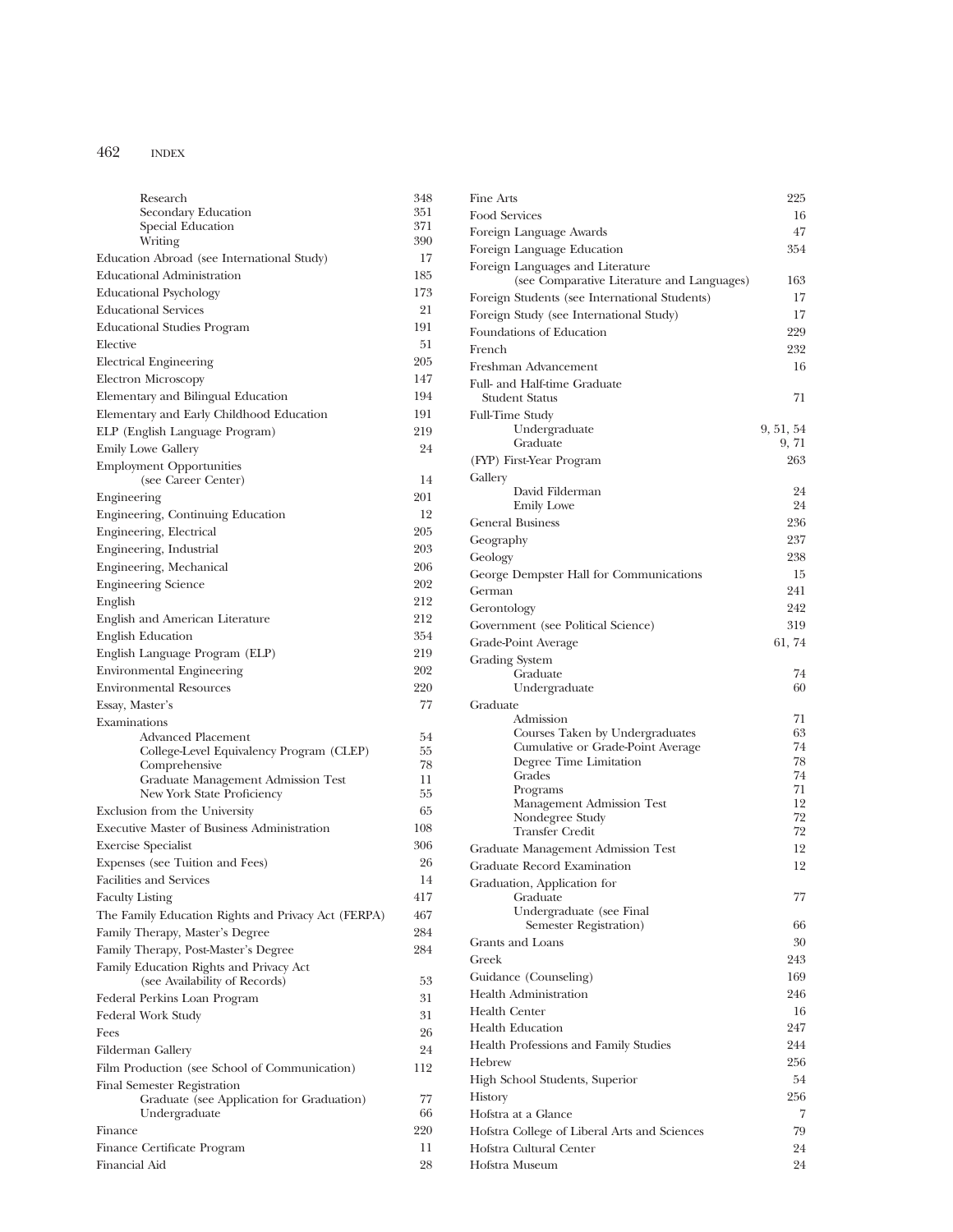| Research                                                                 | 348        |
|--------------------------------------------------------------------------|------------|
| Secondary Education                                                      | 351        |
| Special Education<br>Writing                                             | 371<br>390 |
| Education Abroad (see International Study)                               | 17         |
| <b>Educational Administration</b>                                        | 185        |
|                                                                          | 173        |
| <b>Educational Psychology</b>                                            |            |
| <b>Educational Services</b>                                              | 21         |
| <b>Educational Studies Program</b>                                       | 191        |
| Elective                                                                 | 51         |
| <b>Electrical Engineering</b>                                            | 205        |
| <b>Electron Microscopy</b>                                               | 147        |
| Elementary and Bilingual Education                                       | 194        |
| Elementary and Early Childhood Education                                 | 191        |
| ELP (English Language Program)                                           | 219        |
| <b>Emily Lowe Gallery</b>                                                | 24         |
| <b>Employment Opportunities</b>                                          |            |
| (see Career Center)                                                      | 14         |
| Engineering                                                              | 201        |
| Engineering, Continuing Education                                        | 12         |
| Engineering, Electrical                                                  | 205        |
| Engineering, Industrial                                                  | 203        |
| Engineering, Mechanical                                                  | 206        |
| <b>Engineering Science</b>                                               | 202        |
| English                                                                  | 212        |
| English and American Literature                                          | 212        |
| <b>English Education</b>                                                 | 354        |
| English Language Program (ELP)                                           | 219        |
| <b>Environmental Engineering</b>                                         | 202        |
| <b>Environmental Resources</b>                                           | 220        |
| Essay, Master's                                                          | 77         |
| Examinations                                                             |            |
| Advanced Placement                                                       | 54         |
| College-Level Equivalency Program (CLEP)                                 | 55         |
| Comprehensive                                                            | 78<br>11   |
| Graduate Management Admission Test<br>New York State Proficiency         | 55         |
| Exclusion from the University                                            | 65         |
| <b>Executive Master of Business Administration</b>                       | 108        |
| <b>Exercise Specialist</b>                                               | 306        |
| Expenses (see Tuition and Fees)                                          | 26         |
| <b>Facilities and Services</b>                                           | 14         |
|                                                                          |            |
| <b>Faculty Listing</b>                                                   | 417        |
| The Family Education Rights and Privacy Act (FERPA)                      | 467        |
| Family Therapy, Master's Degree                                          | 284        |
| Family Therapy, Post-Master's Degree                                     | 284        |
| Family Education Rights and Privacy Act<br>(see Availability of Records) | 53         |
| Federal Perkins Loan Program                                             | 31         |
| Federal Work Study                                                       | 31         |
| Fees                                                                     | 26         |
| Filderman Gallery                                                        | 24         |
| Film Production (see School of Communication)                            | 112        |
| Final Semester Registration                                              |            |
| Graduate (see Application for Graduation)                                | 77         |
| Undergraduate                                                            | 66         |
| Finance                                                                  | 220        |
| Finance Certificate Program                                              | 11         |
| Financial Aid                                                            | 28         |

| Fine Arts                                                                      | 225       |
|--------------------------------------------------------------------------------|-----------|
| Food Services                                                                  | 16        |
| Foreign Language Awards                                                        | 47        |
| Foreign Language Education                                                     | 354       |
| Foreign Languages and Literature<br>(see Comparative Literature and Languages) | 163       |
| Foreign Students (see International Students)                                  | 17        |
| Foreign Study (see International Study)                                        | 17        |
| Foundations of Education                                                       | 229       |
| French                                                                         | 232       |
| Freshman Advancement                                                           | 16        |
| Full- and Half-time Graduate<br><b>Student Status</b>                          | 71        |
| <b>Full-Time Study</b>                                                         |           |
| Undergraduate                                                                  | 9, 51, 54 |
| Graduate                                                                       | 9, 71     |
| (FYP) First-Year Program                                                       | 263       |
| Gallery                                                                        |           |
| David Filderman                                                                | 24        |
| <b>Emily Lowe</b>                                                              | 24        |
| <b>General Business</b>                                                        | 236       |
| Geography                                                                      | 237       |
| Geology                                                                        | 238       |
| George Dempster Hall for Communications                                        | 15        |
| German                                                                         | 241       |
| Gerontology                                                                    | 242       |
| Government (see Political Science)                                             | 319       |
| Grade-Point Average                                                            | 61, 74    |
| <b>Grading System</b>                                                          |           |
| Graduate                                                                       | 74        |
| Undergraduate                                                                  | 60        |
| Graduate<br>Admission                                                          | 71        |
| Courses Taken by Undergraduates                                                | 63        |
| Cumulative or Grade-Point Average                                              | 74        |
| Degree Time Limitation                                                         | 78        |
| Grades                                                                         | 74        |
| Programs                                                                       | 71<br>12  |
| Management Admission Test<br>Nondegree Study                                   | 72        |
| <b>Transfer Credit</b>                                                         | 72        |
| Graduate Management Admission Test                                             | 12        |
| <b>Graduate Record Examination</b>                                             | 12        |
| Graduation, Application for                                                    |           |
| Graduate                                                                       | 77        |
| Undergraduate (see Final                                                       |           |
| Semester Registration)                                                         | 66        |
| Grants and Loans                                                               | 30        |
| Greek                                                                          | 243       |
| Guidance (Counseling)                                                          | 169       |
| <b>Health Administration</b>                                                   | 246       |
| <b>Health Center</b>                                                           | 16        |
| <b>Health Education</b>                                                        | 247       |
| Health Professions and Family Studies                                          | 244       |
| Hebrew                                                                         | 256       |
| High School Students, Superior                                                 | 54        |
| History                                                                        | 256       |
| Hofstra at a Glance                                                            | 7         |
|                                                                                |           |
| Hofstra College of Liberal Arts and Sciences                                   | 79        |
| Hofstra Cultural Center                                                        | 24        |
| Hofstra Museum                                                                 | 24        |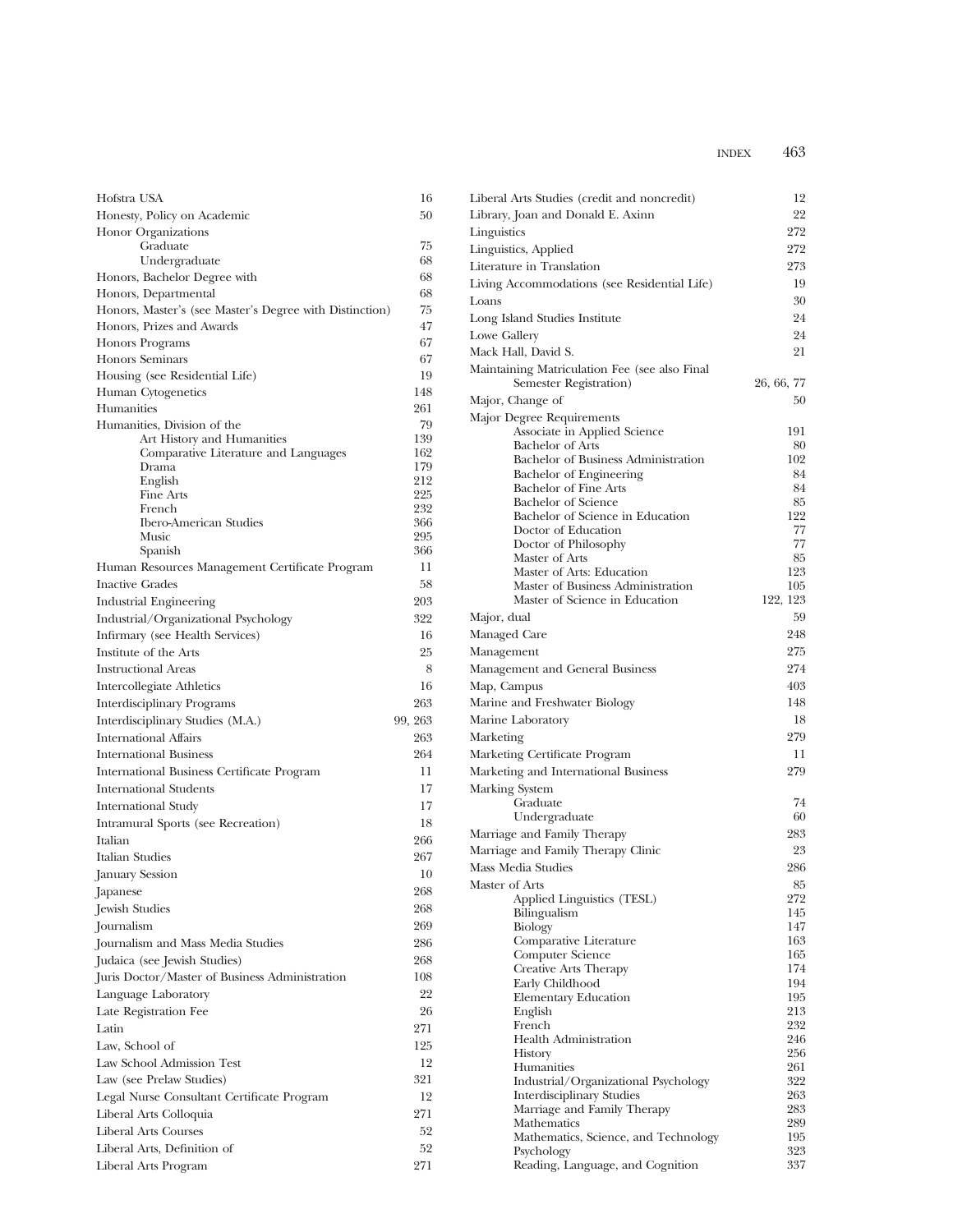| Hofstra USA                                               | 16         |
|-----------------------------------------------------------|------------|
| Honesty, Policy on Academic                               | 50         |
| Honor Organizations                                       |            |
| Graduate                                                  | 75         |
| Undergraduate                                             | 68         |
| Honors, Bachelor Degree with                              | 68         |
| Honors, Departmental                                      | 68         |
| Honors, Master's (see Master's Degree with Distinction)   | 75         |
| Honors, Prizes and Awards                                 | 47         |
| <b>Honors Programs</b>                                    | 67         |
| <b>Honors Seminars</b>                                    | 67         |
| Housing (see Residential Life)                            | 19         |
| Human Cytogenetics                                        | 148        |
| Humanities                                                | 261        |
| Humanities, Division of the<br>Art History and Humanities | 79<br>139  |
| Comparative Literature and Languages                      | 162        |
| Drama                                                     | 179        |
| English                                                   | 212        |
| Fine Arts                                                 | 225        |
| French<br><b>Ibero-American Studies</b>                   | 232<br>366 |
| Music                                                     | 295        |
| Spanish                                                   | 366        |
| Human Resources Management Certificate Program            | 11         |
| <b>Inactive Grades</b>                                    | 58         |
| Industrial Engineering                                    | 203        |
| Industrial/Organizational Psychology                      | 322        |
| Infirmary (see Health Services)                           | 16         |
| Institute of the Arts                                     | 25         |
| <b>Instructional Areas</b>                                | 8          |
| Intercollegiate Athletics                                 | 16         |
| Interdisciplinary Programs                                | 263        |
| Interdisciplinary Studies (M.A.)                          | 99, 263    |
| <b>International Affairs</b>                              | 263        |
| <b>International Business</b>                             | 264        |
| <b>International Business Certificate Program</b>         | 11         |
| <b>International Students</b>                             | 17         |
| International Study                                       | 17         |
| Intramural Sports (see Recreation)                        | 18         |
| Italian                                                   | 266        |
| Italian Studies                                           | 267        |
| January Session                                           | 10         |
| Japanese                                                  | 268        |
| Jewish Studies                                            | 268        |
| Journalism                                                | 269        |
|                                                           | 286        |
| Journalism and Mass Media Studies                         | 268        |
| Judaica (see Jewish Studies)                              |            |
| Juris Doctor/Master of Business Administration            | 108        |
| Language Laboratory                                       | 22         |
| Late Registration Fee<br>Latin                            | 26         |
|                                                           | 271        |
| Law, School of                                            | 125        |
| Law School Admission Test                                 | 12         |
| Law (see Prelaw Studies)                                  | 321        |
| Legal Nurse Consultant Certificate Program                | 12         |
| Liberal Arts Colloquia                                    | 271        |
| Liberal Arts Courses                                      | 52         |
| Liberal Arts, Definition of                               | 52         |
| Liberal Arts Program                                      | 271        |

| Liberal Arts Studies (credit and noncredit)                             | 12         |
|-------------------------------------------------------------------------|------------|
| Library, Joan and Donald E. Axinn                                       | 22         |
| Linguistics                                                             | 272        |
| Linguistics, Applied                                                    | 272        |
| Literature in Translation                                               | 273        |
| Living Accommodations (see Residential Life)                            | 19         |
| Loans                                                                   | 30         |
| Long Island Studies Institute                                           | 24         |
| Lowe Gallery                                                            | 24         |
| Mack Hall, David S.                                                     | 21         |
| Maintaining Matriculation Fee (see also Final<br>Semester Registration) | 26, 66, 77 |
| Major, Change of                                                        | 50         |
| Major Degree Requirements                                               |            |
| Associate in Applied Science                                            | 191        |
| Bachelor of Arts                                                        | 80         |
| Bachelor of Business Administration                                     | 102        |
| Bachelor of Engineering<br>Bachelor of Fine Arts                        | 84<br>84   |
| Bachelor of Science                                                     | 85         |
| Bachelor of Science in Education                                        | 122        |
| Doctor of Education                                                     | 77         |
| Doctor of Philosophy                                                    | 77         |
| Master of Arts                                                          | 85         |
| Master of Arts: Education<br>Master of Business Administration          | 123<br>105 |
| Master of Science in Education                                          | 122, 123   |
| Major, dual                                                             | 59         |
| Managed Care                                                            | 248        |
|                                                                         | 275        |
| Management                                                              | 274        |
| Management and General Business                                         |            |
| Map, Campus                                                             | 403        |
| Marine and Freshwater Biology                                           | 148        |
| Marine Laboratory                                                       | 18         |
| Marketing                                                               | 279        |
| Marketing Certificate Program                                           | 11         |
| Marketing and International Business                                    | 279        |
| Marking System                                                          |            |
| Graduate                                                                | 74<br>60   |
| Undergraduate<br>Marriage and Family Therapy                            | 283        |
| Marriage and Family Therapy Clinic                                      | 23         |
|                                                                         |            |
| Mass Media Studies                                                      | 286        |
| Master of Arts<br>Applied Linguistics (TESL)                            | 85<br>272  |
| Bilingualism                                                            | 145        |
| Biology                                                                 | 147        |
| Comparative Literature                                                  | 163        |
| Computer Science                                                        | 165        |
| Creative Arts Therapy                                                   | 174        |
| Early Childhood                                                         | 194<br>195 |
| <b>Elementary Education</b><br>English                                  | 213        |
| French                                                                  | 232        |
| <b>Health Administration</b>                                            | 246        |
| History                                                                 | 256        |
| Humanities                                                              | 261        |
| Industrial/Organizational Psychology                                    | 322        |
| <b>Interdisciplinary Studies</b><br>Marriage and Family Therapy         | 263<br>283 |
| Mathematics                                                             | 289        |
| Mathematics, Science, and Technology                                    | 195        |
| Psychology                                                              | 323        |
| Reading, Language, and Cognition                                        | 337        |
|                                                                         |            |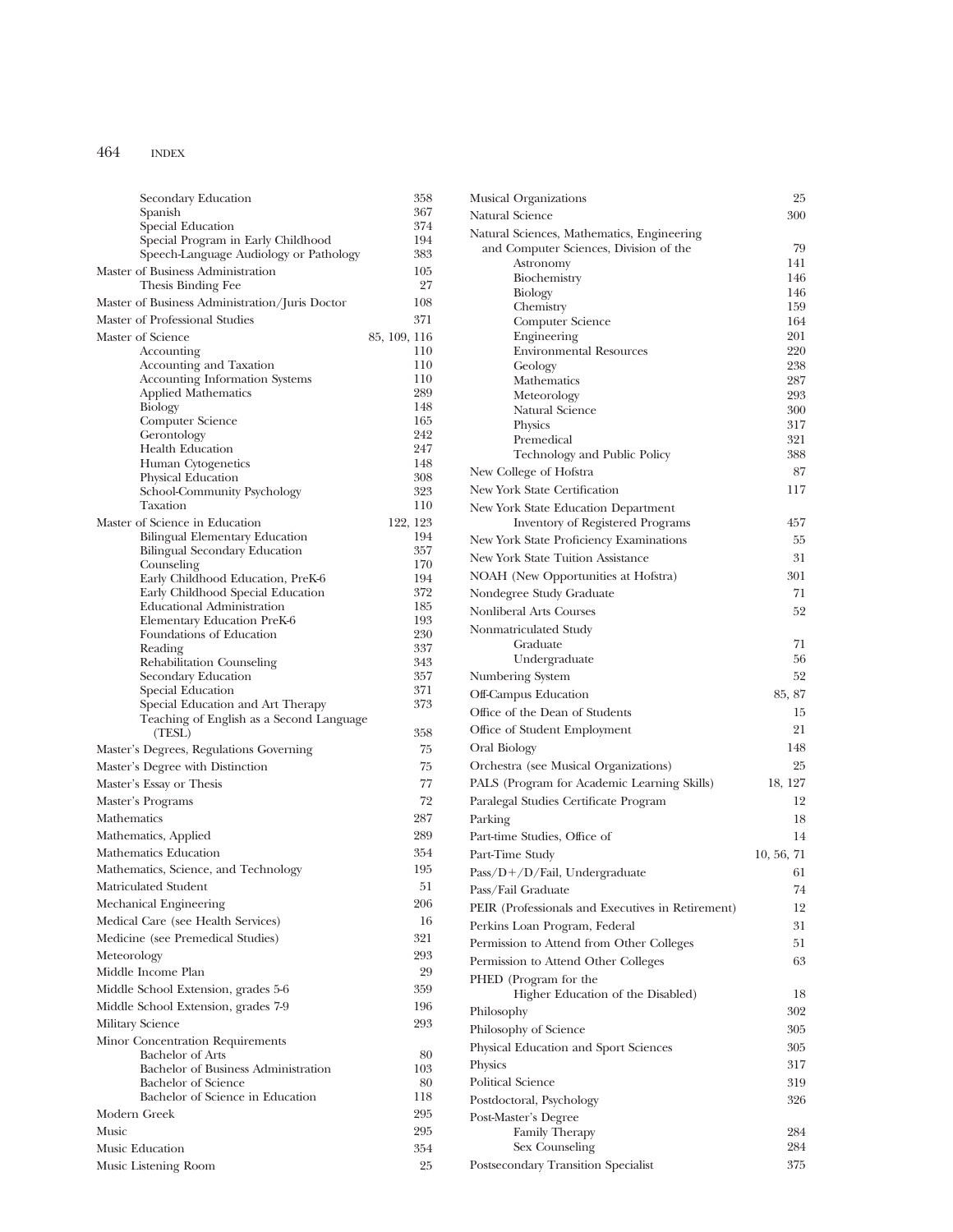| Secondary Education                                                          |              | 358        |
|------------------------------------------------------------------------------|--------------|------------|
| Spanish                                                                      |              | 367        |
| Special Education                                                            |              | 374<br>194 |
| Special Program in Early Childhood<br>Speech-Language Audiology or Pathology |              | 383        |
| Master of Business Administration                                            |              | 105        |
| Thesis Binding Fee                                                           |              | 27         |
| Master of Business Administration/Juris Doctor                               |              | 108        |
| Master of Professional Studies                                               |              | 371        |
| Master of Science                                                            | 85, 109, 116 |            |
| Accounting                                                                   |              | 110        |
| Accounting and Taxation                                                      |              | 110        |
| Accounting Information Systems                                               |              | 110        |
| <b>Applied Mathematics</b>                                                   |              | 289        |
| <b>Biology</b>                                                               |              | 148        |
| Computer Science                                                             |              | 165<br>242 |
| Gerontology<br><b>Health Education</b>                                       |              | 247        |
| Human Cytogenetics                                                           |              | 148        |
| Physical Education                                                           |              | 308        |
| School-Community Psychology                                                  |              | 323        |
| Taxation                                                                     |              | 110        |
| Master of Science in Education                                               | 122, 123     |            |
| <b>Bilingual Elementary Education</b>                                        |              | 194        |
| Bilingual Secondary Education                                                |              | 357        |
| Counseling                                                                   |              | 170<br>194 |
| Early Childhood Education, PreK-6<br>Early Childhood Special Education       |              | 372        |
| <b>Educational Administration</b>                                            |              | 185        |
| Elementary Education PreK-6                                                  |              | 193        |
| Foundations of Education                                                     |              | 230        |
| Reading                                                                      |              | 337        |
| Rehabilitation Counseling                                                    |              | 343        |
| Secondary Education                                                          |              | 357        |
| Special Education<br>Special Education and Art Therapy                       |              | 371<br>373 |
| Teaching of English as a Second Language                                     |              |            |
| (TESL)                                                                       |              | 358        |
| Master's Degrees, Regulations Governing                                      |              | 75         |
| Master's Degree with Distinction                                             |              | 75         |
| Master's Essay or Thesis                                                     |              | 77         |
| Master's Programs                                                            |              | 72         |
| Mathematics                                                                  |              | 287        |
| Mathematics, Applied                                                         |              | 289        |
| Mathematics Education                                                        |              | 354        |
| Mathematics, Science, and Technology                                         |              | 195        |
| Matriculated Student                                                         |              | 51         |
| Mechanical Engineering                                                       |              | 206        |
| Medical Care (see Health Services)                                           |              | 16         |
| Medicine (see Premedical Studies)                                            |              | 321        |
| Meteorology                                                                  |              | 293        |
| Middle Income Plan                                                           |              | 29         |
|                                                                              |              | 359        |
| Middle School Extension, grades 5-6                                          |              |            |
| Middle School Extension, grades 7-9                                          |              | 196        |
| <b>Military Science</b>                                                      |              | 293        |
| Minor Concentration Requirements                                             |              |            |
| <b>Bachelor</b> of Arts<br>Bachelor of Business Administration               |              | 80<br>103  |
| <b>Bachelor</b> of Science                                                   |              | 80         |
| Bachelor of Science in Education                                             |              | 118        |
| Modern Greek                                                                 |              | 295        |
| Music                                                                        |              | 295        |
| Music Education                                                              |              | 354        |
| Music Listening Room                                                         |              | 25         |
|                                                                              |              |            |

| Musical Organizations                             | 25         |
|---------------------------------------------------|------------|
| Natural Science                                   | 300        |
| Natural Sciences, Mathematics, Engineering        |            |
| and Computer Sciences, Division of the            | 79         |
| Astronomy                                         | 141        |
| Biochemistry                                      | 146        |
| Biology<br>Chemistry                              | 146<br>159 |
| Computer Science                                  | 164        |
| Engineering                                       | 201        |
| <b>Environmental Resources</b>                    | 220        |
| Geology                                           | 238        |
| Mathematics                                       | 287        |
| Meteorology                                       | 293        |
| Natural Science                                   | 300<br>317 |
| Physics<br>Premedical                             | 321        |
| Technology and Public Policy                      | 388        |
| New College of Hofstra                            | 87         |
| New York State Certification                      | 117        |
| New York State Education Department               |            |
| <b>Inventory of Registered Programs</b>           | 457        |
| New York State Proficiency Examinations           | 55         |
| <b>New York State Tuition Assistance</b>          | 31         |
|                                                   | 301        |
| NOAH (New Opportunities at Hofstra)               | 71         |
| Nondegree Study Graduate                          |            |
| Nonliberal Arts Courses                           | 52         |
| Nonmatriculated Study                             | 71         |
| Graduate<br>Undergraduate                         | 56         |
| Numbering System                                  | 52         |
| Off-Campus Education                              | 85, 87     |
|                                                   |            |
| Office of the Dean of Students                    | 15         |
| Office of Student Employment                      | 21         |
| Oral Biology                                      | 148        |
| Orchestra (see Musical Organizations)             | 25         |
| PALS (Program for Academic Learning Skills)       | 18, 127    |
| Paralegal Studies Certificate Program             | 12         |
| Parking                                           | 18         |
| Part-time Studies, Office of                      | 14         |
| Part-Time Study                                   | 10, 56, 71 |
| $Pass/D+/D/fail$ , Undergraduate                  | 61         |
| Pass/Fail Graduate                                | 74         |
| PEIR (Professionals and Executives in Retirement) | 12         |
| Perkins Loan Program, Federal                     | 31         |
| Permission to Attend from Other Colleges          | 51         |
| Permission to Attend Other Colleges               | 63         |
| PHED (Program for the                             |            |
| Higher Education of the Disabled)                 | 18         |
| Philosophy                                        | 302        |
| Philosophy of Science                             | 305        |
| Physical Education and Sport Sciences             | 305        |
| Physics                                           | 317        |
| <b>Political Science</b>                          | 319        |
|                                                   | 326        |
| Postdoctoral, Psychology                          |            |
| Post-Master's Degree<br>Family Therapy            | 284        |
| Sex Counseling                                    | 284        |
| Postsecondary Transition Specialist               | 375        |
|                                                   |            |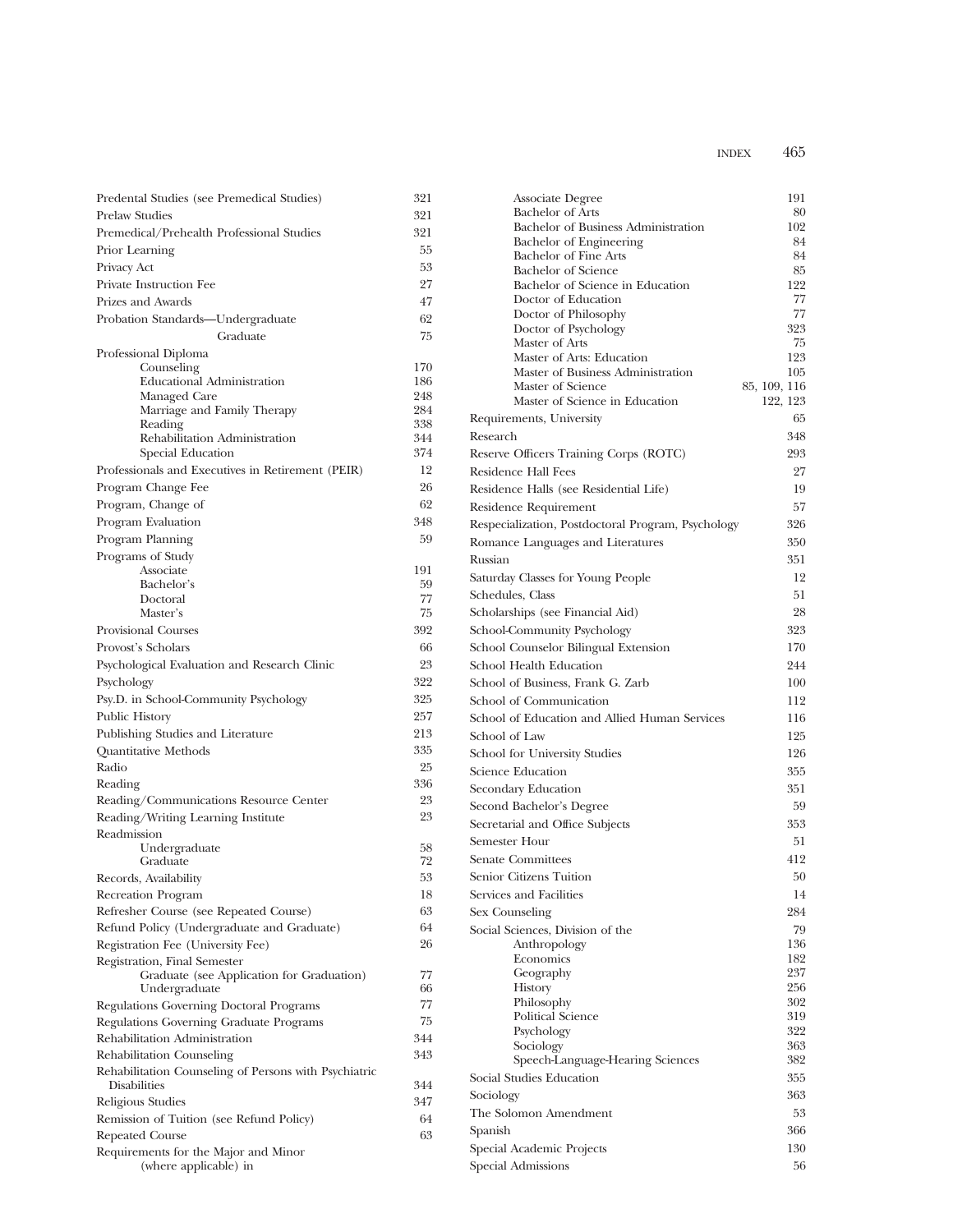| Predental Studies (see Premedical Studies)                 | 321        |
|------------------------------------------------------------|------------|
| <b>Prelaw Studies</b>                                      | 321        |
| Premedical/Prehealth Professional Studies                  | 321        |
| Prior Learning                                             | 55         |
| Privacy Act                                                | 53         |
| Private Instruction Fee                                    | 27         |
| Prizes and Awards                                          | 47         |
| Probation Standards-Undergraduate                          | 62         |
| Graduate                                                   | 75         |
| Professional Diploma                                       |            |
| Counseling                                                 | 170        |
| <b>Educational Administration</b>                          | 186        |
| Managed Care                                               | 248<br>284 |
| Marriage and Family Therapy<br>Reading                     | 338        |
| Rehabilitation Administration                              | 344        |
| Special Education                                          | 374        |
| Professionals and Executives in Retirement (PEIR)          | 12         |
| Program Change Fee                                         | 26         |
| Program, Change of                                         | 62         |
| Program Evaluation                                         | 348        |
| Program Planning                                           | 59         |
| Programs of Study                                          |            |
| Associate                                                  | 191        |
| Bachelor's                                                 | 59         |
| Doctoral                                                   | 77         |
| Master's                                                   | 75         |
| <b>Provisional Courses</b>                                 | 392        |
| Provost's Scholars                                         | 66         |
| Psychological Evaluation and Research Clinic               | 23         |
| Psychology                                                 | 322        |
| Psy.D. in School-Community Psychology                      | 325        |
| Public History                                             | 257        |
| Publishing Studies and Literature                          | 213        |
| <b>Quantitative Methods</b>                                | 335        |
| Radio                                                      | 25         |
| Reading                                                    | 336        |
| Reading/Communications Resource Center                     | 23         |
| Reading/Writing Learning Institute                         | 23         |
| Readmission                                                |            |
| Undergraduate                                              | 58         |
| Graduate                                                   | 72         |
| Records, Availability                                      | 53         |
| Recreation Program                                         | 18         |
| Refresher Course (see Repeated Course)                     | 63         |
| Refund Policy (Undergraduate and Graduate)                 | 64         |
| Registration Fee (University Fee)                          | 26         |
| Registration, Final Semester                               | 77         |
| Graduate (see Application for Graduation)<br>Undergraduate | 66         |
| Regulations Governing Doctoral Programs                    | 77         |
| Regulations Governing Graduate Programs                    | 75         |
| Rehabilitation Administration                              | 344        |
| Rehabilitation Counseling                                  | 343        |
| Rehabilitation Counseling of Persons with Psychiatric      |            |
| <b>Disabilities</b>                                        | 344        |
| Religious Studies                                          | 347        |
| Remission of Tuition (see Refund Policy)                   | 64         |
| <b>Repeated Course</b>                                     | 63         |
| Requirements for the Major and Minor                       |            |
| (where applicable) in                                      |            |

| Associate Degree                                               | 191          |
|----------------------------------------------------------------|--------------|
| <b>Bachelor</b> of Arts                                        | 80           |
| Bachelor of Business Administration                            | 102          |
| Bachelor of Engineering<br><b>Bachelor of Fine Arts</b>        | 84<br>84     |
| <b>Bachelor</b> of Science                                     | 85           |
| Bachelor of Science in Education                               | 122          |
| Doctor of Education                                            | 77           |
| Doctor of Philosophy                                           | 77           |
| Doctor of Psychology                                           | 323          |
| Master of Arts                                                 | 75           |
| Master of Arts: Education<br>Master of Business Administration | 123<br>105   |
| Master of Science                                              | 85, 109, 116 |
| Master of Science in Education                                 | 122, 123     |
| Requirements, University                                       | 65           |
| Research                                                       | 348          |
| Reserve Officers Training Corps (ROTC)                         | 293          |
| <b>Residence Hall Fees</b>                                     | 27           |
| Residence Halls (see Residential Life)                         | 19           |
| Residence Requirement                                          | 57           |
|                                                                | 326          |
| Respecialization, Postdoctoral Program, Psychology             |              |
| Romance Languages and Literatures                              | 350          |
| Russian                                                        | 351          |
| Saturday Classes for Young People                              | 12           |
| Schedules, Class                                               | 51           |
| Scholarships (see Financial Aid)                               | 28           |
| School-Community Psychology                                    | 323          |
| School Counselor Bilingual Extension                           | 170          |
| School Health Education                                        | 244          |
| School of Business, Frank G. Zarb                              | 100          |
| School of Communication                                        | 112          |
| School of Education and Allied Human Services                  | 116          |
| School of Law                                                  | 125          |
| School for University Studies                                  | 126          |
| Science Education                                              | 355          |
| Secondary Education                                            | 351          |
| Second Bachelor's Degree                                       | 59           |
| Secretarial and Office Subjects                                | 353          |
| Semester Hour                                                  | 51           |
| <b>Senate Committees</b>                                       | 412          |
| Senior Citizens Tuition                                        | 50           |
| Services and Facilities                                        | 14           |
| Sex Counseling                                                 | 284          |
| Social Sciences, Division of the                               | 79           |
| Anthropology                                                   | 136          |
| Economics                                                      | 182          |
| Geography                                                      | 237          |
| History                                                        | 256          |
| Philosophy                                                     | 302          |
| <b>Political Science</b><br>Psychology                         | 319<br>322   |
| Sociology                                                      | 363          |
| Speech-Language-Hearing Sciences                               | 382          |
| Social Studies Education                                       | 355          |
| Sociology                                                      | 363          |
| The Solomon Amendment                                          | 53           |
| Spanish                                                        | 366          |
| Special Academic Projects                                      | 130          |
| Special Admissions                                             | 56           |
|                                                                |              |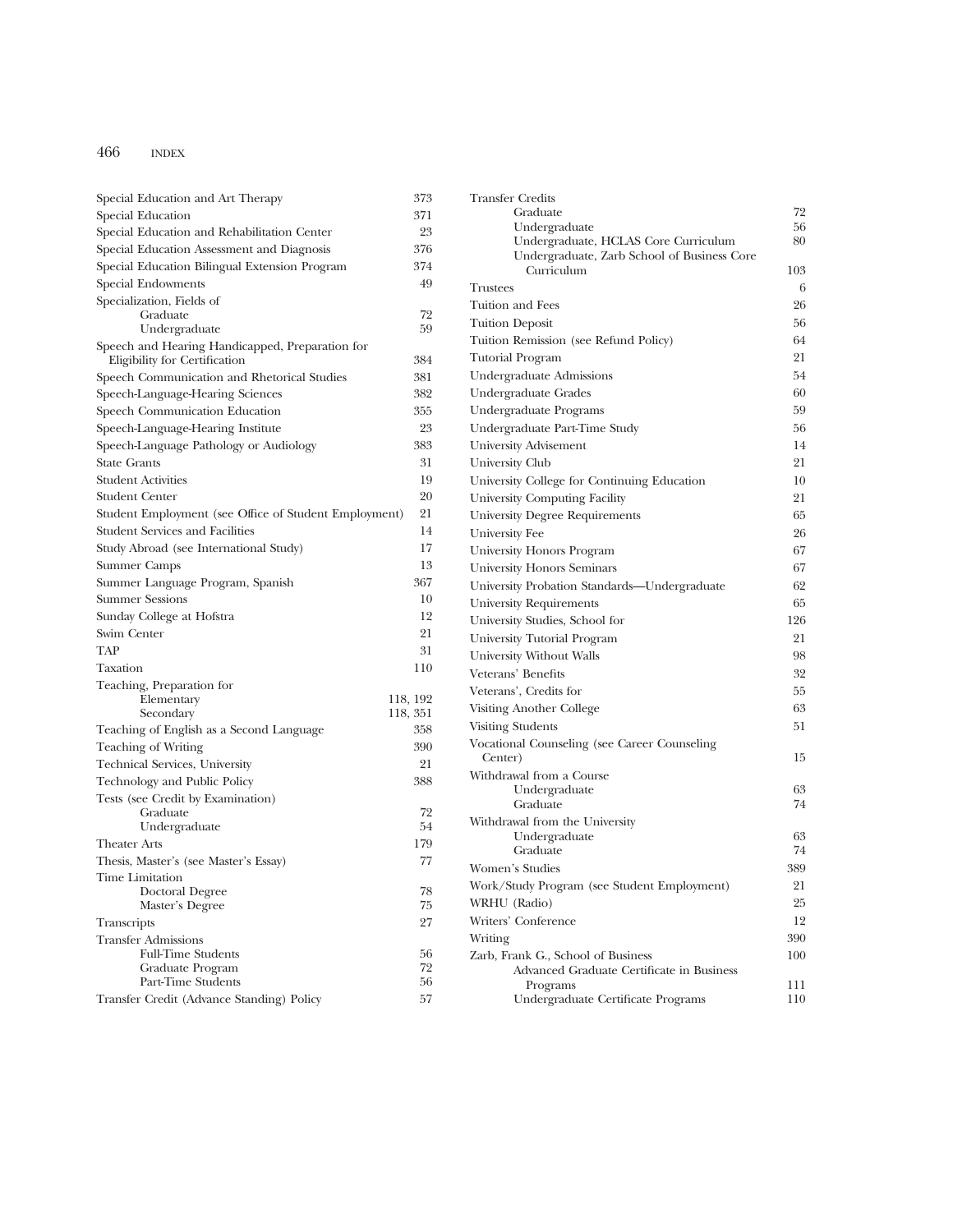| Special Education and Art Therapy                                                | 373      | <b>Transfer Credits</b>                                                         |          |
|----------------------------------------------------------------------------------|----------|---------------------------------------------------------------------------------|----------|
| Special Education                                                                | 371      | Graduate                                                                        | 72       |
| Special Education and Rehabilitation Center                                      | 23       | Undergraduate                                                                   | 56       |
| Special Education Assessment and Diagnosis                                       | 376      | Undergraduate, HCLAS Core Curriculum                                            | 80       |
| Special Education Bilingual Extension Program                                    | 374      | Undergraduate, Zarb School of Business Core<br>Curriculum                       | 103      |
| Special Endowments                                                               | 49       | <b>Trustees</b>                                                                 | 6        |
| Specialization, Fields of                                                        |          | Tuition and Fees                                                                | 26       |
| Graduate                                                                         | 72       |                                                                                 | 56       |
| Undergraduate                                                                    | 59       | <b>Tuition Deposit</b>                                                          |          |
| Speech and Hearing Handicapped, Preparation for<br>Eligibility for Certification | 384      | Tuition Remission (see Refund Policy)<br><b>Tutorial Program</b>                | 64<br>21 |
| Speech Communication and Rhetorical Studies                                      | 381      | Undergraduate Admissions                                                        | 54       |
| Speech-Language-Hearing Sciences                                                 | 382      | Undergraduate Grades                                                            | 60       |
| Speech Communication Education                                                   | 355      | Undergraduate Programs                                                          | 59       |
| Speech-Language-Hearing Institute                                                | 23       | Undergraduate Part-Time Study                                                   | 56       |
| Speech-Language Pathology or Audiology                                           | 383      | University Advisement                                                           | 14       |
| <b>State Grants</b>                                                              | 31       | University Club                                                                 | 21       |
| <b>Student Activities</b>                                                        | 19       | University College for Continuing Education                                     | 10       |
| Student Center                                                                   | 20       | University Computing Facility                                                   | 21       |
| Student Employment (see Office of Student Employment)                            | 21       | University Degree Requirements                                                  | 65       |
| <b>Student Services and Facilities</b>                                           | 14       | University Fee                                                                  | 26       |
| Study Abroad (see International Study)                                           | 17       | University Honors Program                                                       | 67       |
| Summer Camps                                                                     | 13       |                                                                                 | 67       |
| Summer Language Program, Spanish                                                 | 367      | <b>University Honors Seminars</b>                                               |          |
| <b>Summer Sessions</b>                                                           | 10       | University Probation Standards-Undergraduate                                    | 62       |
| Sunday College at Hofstra                                                        | 12       | University Requirements                                                         | 65       |
| Swim Center                                                                      | 21       | University Studies, School for                                                  | 126      |
| TAP                                                                              | 31       | University Tutorial Program                                                     | 21       |
| Taxation                                                                         | 110      | University Without Walls                                                        | 98       |
| Teaching, Preparation for                                                        |          | Veterans' Benefits                                                              | 32       |
| Elementary                                                                       | 118, 192 | Veterans', Credits for                                                          | 55       |
| Secondary                                                                        | 118, 351 | Visiting Another College                                                        | 63       |
| Teaching of English as a Second Language                                         | 358      | <b>Visiting Students</b>                                                        | 51       |
| Teaching of Writing                                                              | 390      | Vocational Counseling (see Career Counseling                                    |          |
| Technical Services, University                                                   | 21       | Center)                                                                         | 15       |
| Technology and Public Policy                                                     | 388      | Withdrawal from a Course                                                        |          |
| Tests (see Credit by Examination)                                                |          | Undergraduate                                                                   | 63       |
| Graduate                                                                         | 72       | Graduate                                                                        | 74       |
| Undergraduate                                                                    | 54       | Withdrawal from the University                                                  | 63       |
| <b>Theater Arts</b>                                                              | 179      | Undergraduate<br>Graduate                                                       | 74       |
| Thesis, Master's (see Master's Essay)                                            | 77       | Women's Studies                                                                 | 389      |
| Time Limitation                                                                  |          | Work/Study Program (see Student Employment)                                     | 21       |
| Doctoral Degree                                                                  | $78\,$   | WRHU (Radio)                                                                    | 25       |
| Master's Degree                                                                  | 75       | Writers' Conference                                                             | 12       |
| Transcripts                                                                      | 27       |                                                                                 |          |
| <b>Transfer Admissions</b><br><b>Full-Time Students</b>                          |          | Writing                                                                         | 390      |
| Graduate Program                                                                 | 56<br>72 | Zarb, Frank G., School of Business<br>Advanced Graduate Certificate in Business | 100      |
| Part-Time Students                                                               | 56       | Programs                                                                        | 111      |
| Transfer Credit (Advance Standing) Policy                                        | 57       | Undergraduate Certificate Programs                                              | 110      |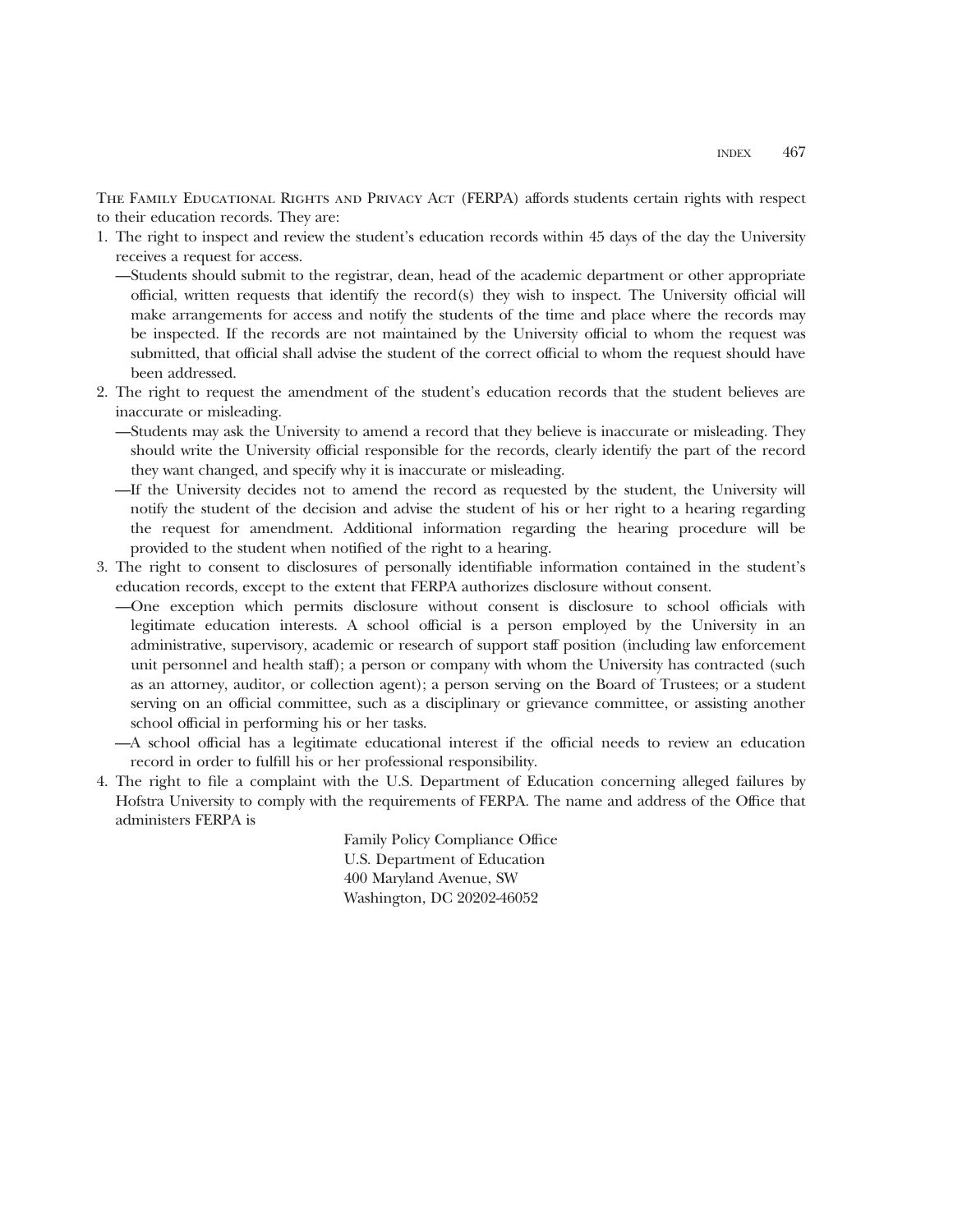THE FAMILY EDUCATIONAL RIGHTS AND PRIVACY ACT (FERPA) affords students certain rights with respect to their education records. They are:

- 1. The right to inspect and review the student's education records within 45 days of the day the University receives a request for access.
	- —Students should submit to the registrar, dean, head of the academic department or other appropriate official, written requests that identify the record(s) they wish to inspect. The University official will make arrangements for access and notify the students of the time and place where the records may be inspected. If the records are not maintained by the University official to whom the request was submitted, that official shall advise the student of the correct official to whom the request should have been addressed.
- 2. The right to request the amendment of the student's education records that the student believes are inaccurate or misleading.
	- —Students may ask the University to amend a record that they believe is inaccurate or misleading. They should write the University official responsible for the records, clearly identify the part of the record they want changed, and specify why it is inaccurate or misleading.
	- —If the University decides not to amend the record as requested by the student, the University will notify the student of the decision and advise the student of his or her right to a hearing regarding the request for amendment. Additional information regarding the hearing procedure will be provided to the student when notified of the right to a hearing.
- 3. The right to consent to disclosures of personally identifiable information contained in the student's education records, except to the extent that FERPA authorizes disclosure without consent.
	- —One exception which permits disclosure without consent is disclosure to school officials with legitimate education interests. A school official is a person employed by the University in an administrative, supervisory, academic or research of support staff position (including law enforcement unit personnel and health staff); a person or company with whom the University has contracted (such as an attorney, auditor, or collection agent); a person serving on the Board of Trustees; or a student serving on an official committee, such as a disciplinary or grievance committee, or assisting another school official in performing his or her tasks.
	- —A school official has a legitimate educational interest if the official needs to review an education record in order to fulfill his or her professional responsibility.
- 4. The right to file a complaint with the U.S. Department of Education concerning alleged failures by Hofstra University to comply with the requirements of FERPA. The name and address of the Office that administers FERPA is

Family Policy Compliance Office U.S. Department of Education 400 Maryland Avenue, SW Washington, DC 20202-46052